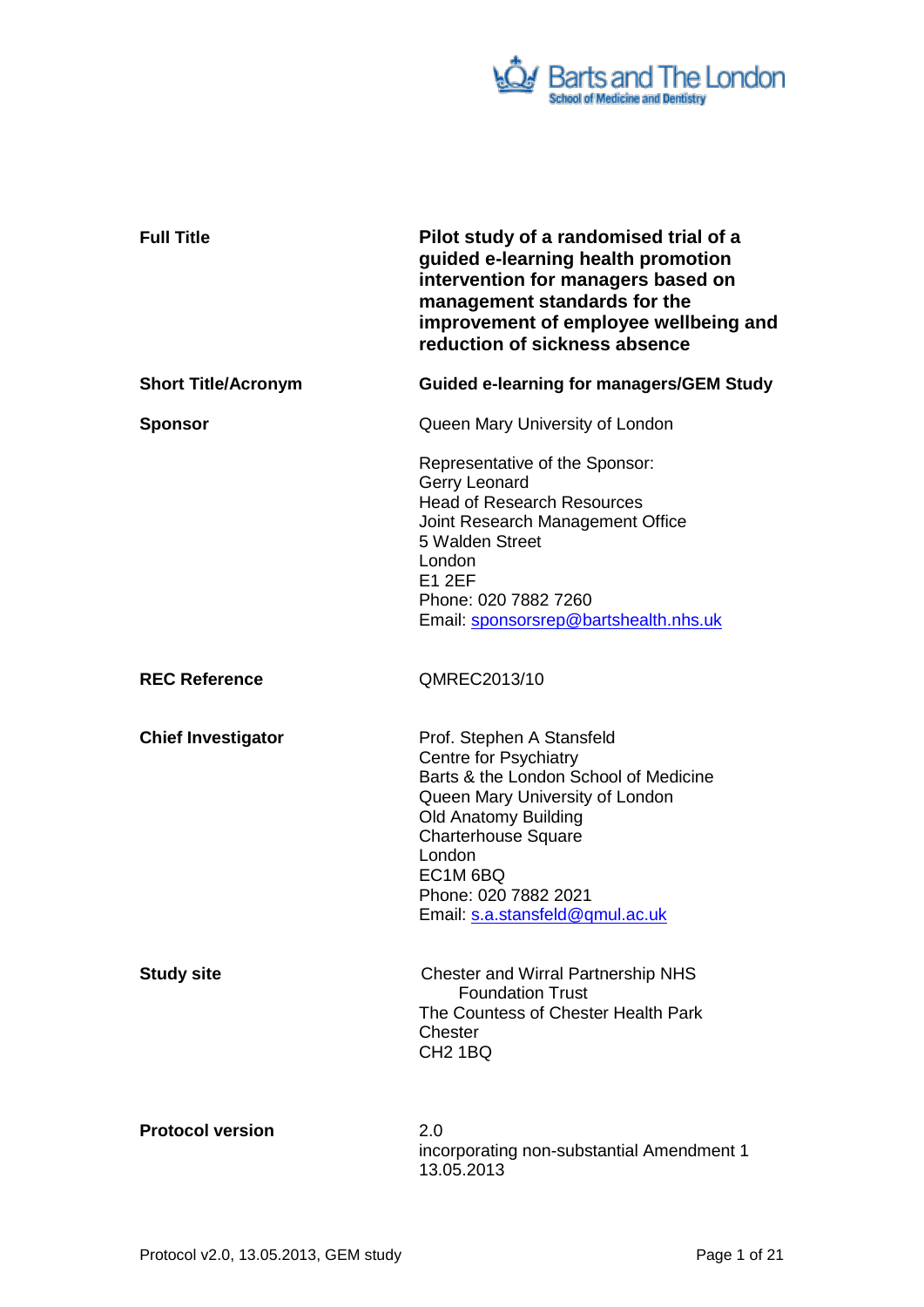

| <b>Full Title</b>          | Pilot study of a randomised trial of a<br>guided e-learning health promotion<br>intervention for managers based on<br>management standards for the<br>improvement of employee wellbeing and<br>reduction of sickness absence                                                 |
|----------------------------|------------------------------------------------------------------------------------------------------------------------------------------------------------------------------------------------------------------------------------------------------------------------------|
| <b>Short Title/Acronym</b> | <b>Guided e-learning for managers/GEM Study</b>                                                                                                                                                                                                                              |
| <b>Sponsor</b>             | Queen Mary University of London                                                                                                                                                                                                                                              |
|                            | Representative of the Sponsor:<br>Gerry Leonard<br><b>Head of Research Resources</b><br>Joint Research Management Office<br>5 Walden Street<br>London<br><b>E1 2EF</b><br>Phone: 020 7882 7260<br>Email: sponsorsrep@bartshealth.nhs.uk                                      |
| <b>REC Reference</b>       | QMREC2013/10                                                                                                                                                                                                                                                                 |
| <b>Chief Investigator</b>  | Prof. Stephen A Stansfeld<br>Centre for Psychiatry<br>Barts & the London School of Medicine<br>Queen Mary University of London<br><b>Old Anatomy Building</b><br><b>Charterhouse Square</b><br>London<br>EC1M 6BQ<br>Phone: 020 7882 2021<br>Email: s.a.stansfeld@qmul.ac.uk |
| <b>Study site</b>          | <b>Chester and Wirral Partnership NHS</b><br><b>Foundation Trust</b><br>The Countess of Chester Health Park<br>Chester<br>CH <sub>2</sub> 1BQ                                                                                                                                |
| <b>Protocol version</b>    | 2.0<br>incorporating non-substantial Amendment 1<br>13.05.2013                                                                                                                                                                                                               |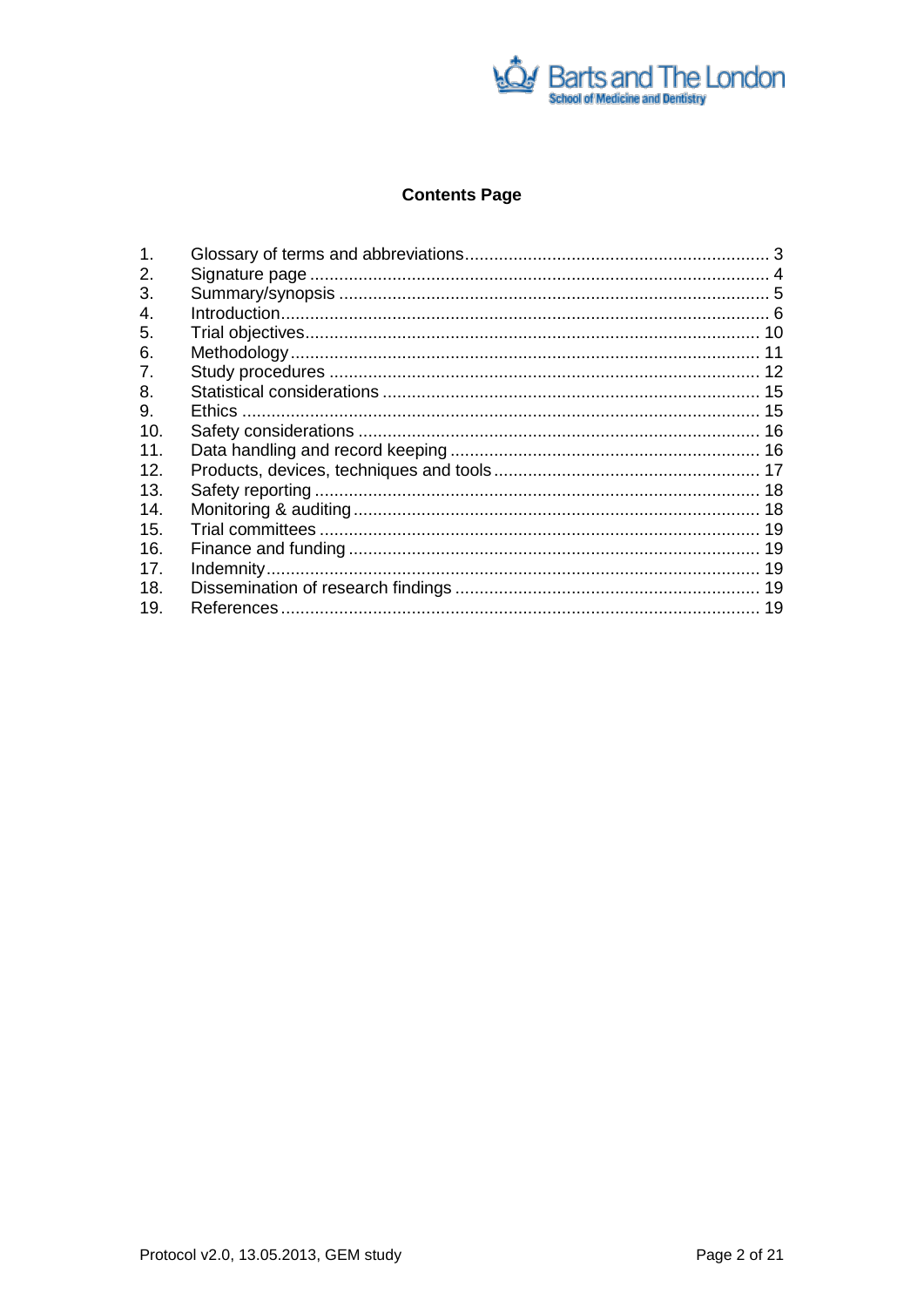

# **Contents Page**

| 1.             |  |
|----------------|--|
| 2.             |  |
| 3.             |  |
| 4.             |  |
| 5.             |  |
| 6.             |  |
| 7 <sub>1</sub> |  |
| 8.             |  |
| 9.             |  |
| 10.            |  |
| 11.            |  |
| 12.            |  |
| 13.            |  |
| 14.            |  |
| 15.            |  |
| 16.            |  |
| 17.            |  |
| 18.            |  |
| 19.            |  |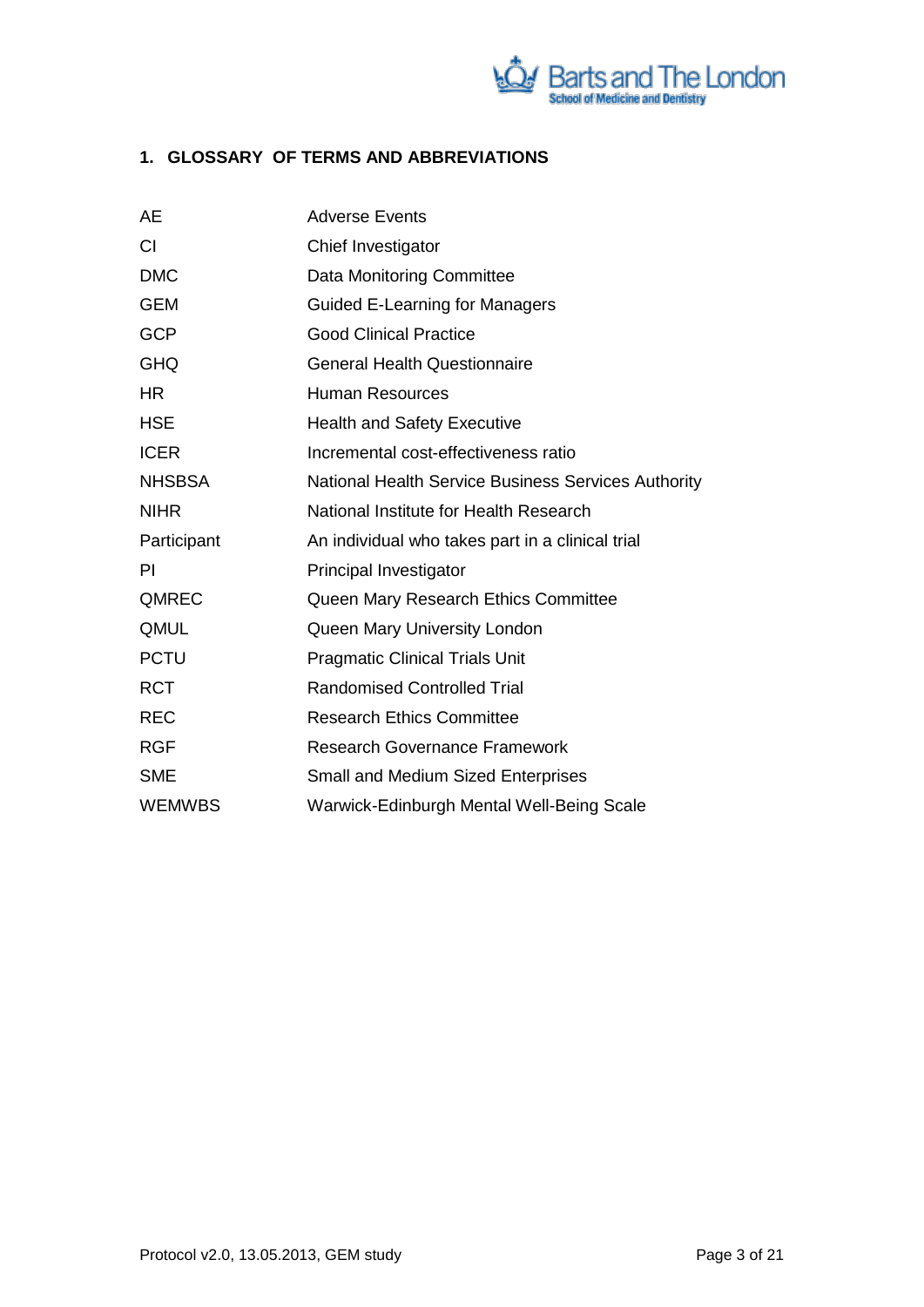

# <span id="page-2-0"></span>**1. GLOSSARY OF TERMS AND ABBREVIATIONS**

| AE            | <b>Adverse Events</b>                                      |  |
|---------------|------------------------------------------------------------|--|
| <b>CI</b>     | Chief Investigator                                         |  |
| <b>DMC</b>    | Data Monitoring Committee                                  |  |
| <b>GEM</b>    | <b>Guided E-Learning for Managers</b>                      |  |
| <b>GCP</b>    | <b>Good Clinical Practice</b>                              |  |
| <b>GHQ</b>    | <b>General Health Questionnaire</b>                        |  |
| HR.           | <b>Human Resources</b>                                     |  |
| <b>HSE</b>    | <b>Health and Safety Executive</b>                         |  |
| <b>ICER</b>   | Incremental cost-effectiveness ratio                       |  |
| <b>NHSBSA</b> | <b>National Health Service Business Services Authority</b> |  |
| <b>NIHR</b>   | National Institute for Health Research                     |  |
| Participant   | An individual who takes part in a clinical trial           |  |
| PI            | Principal Investigator                                     |  |
| QMREC         | Queen Mary Research Ethics Committee                       |  |
| QMUL          | Queen Mary University London                               |  |
| <b>PCTU</b>   | <b>Pragmatic Clinical Trials Unit</b>                      |  |
| <b>RCT</b>    | <b>Randomised Controlled Trial</b>                         |  |
| <b>REC</b>    | <b>Research Ethics Committee</b>                           |  |
| <b>RGF</b>    | <b>Research Governance Framework</b>                       |  |
| <b>SME</b>    | <b>Small and Medium Sized Enterprises</b>                  |  |
| <b>WEMWBS</b> | Warwick-Edinburgh Mental Well-Being Scale                  |  |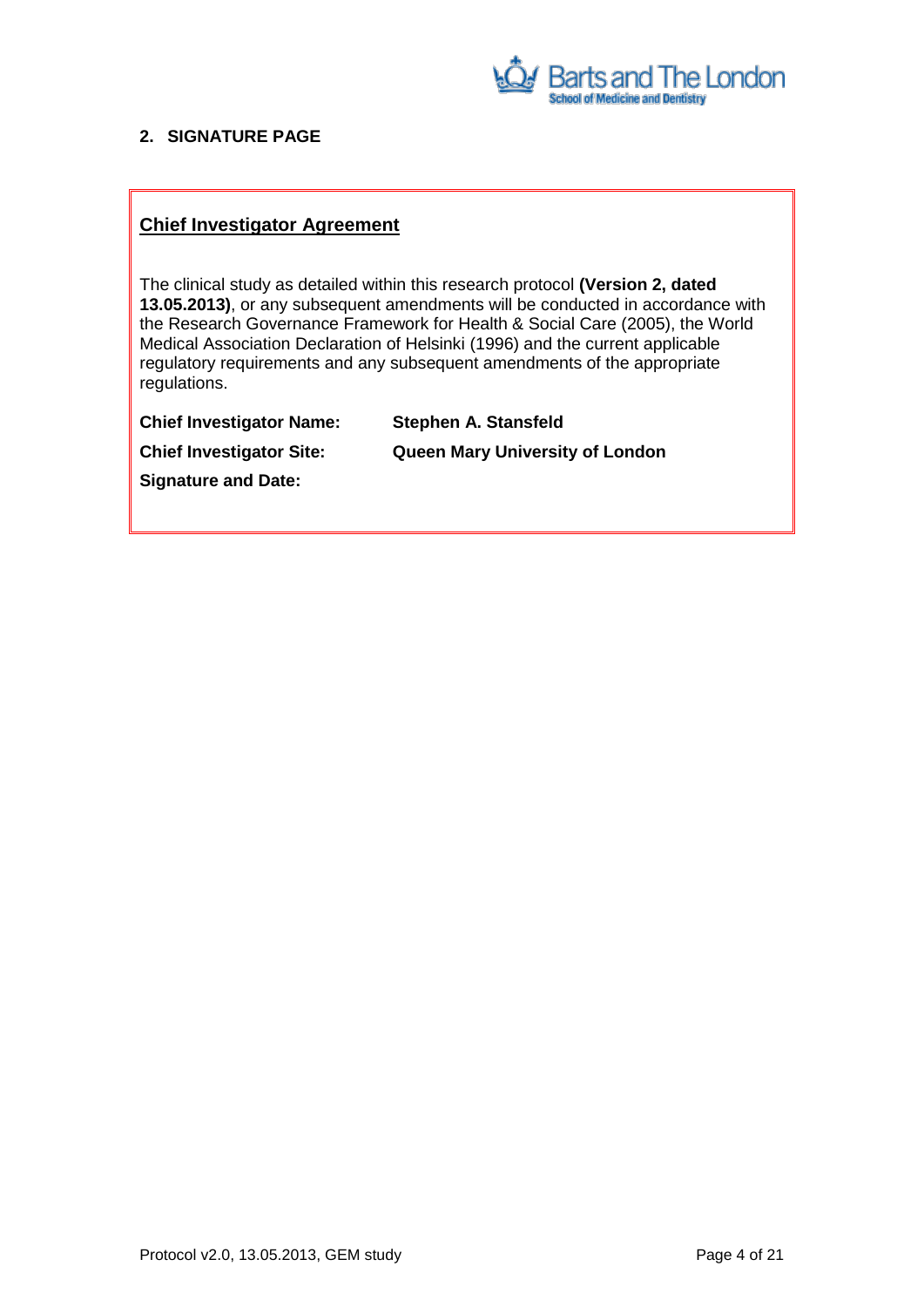

## <span id="page-3-0"></span>**2. SIGNATURE PAGE**

## **Chief Investigator Agreement**

The clinical study as detailed within this research protocol **(Version 2, dated 13.05.2013)**, or any subsequent amendments will be conducted in accordance with the Research Governance Framework for Health & Social Care (2005), the World Medical Association Declaration of Helsinki (1996) and the current applicable regulatory requirements and any subsequent amendments of the appropriate regulations.

| <b>Chief Investigator Name:</b> | <b>Stephen A. Stansfeld</b>            |
|---------------------------------|----------------------------------------|
| <b>Chief Investigator Site:</b> | <b>Queen Mary University of London</b> |
| <b>Signature and Date:</b>      |                                        |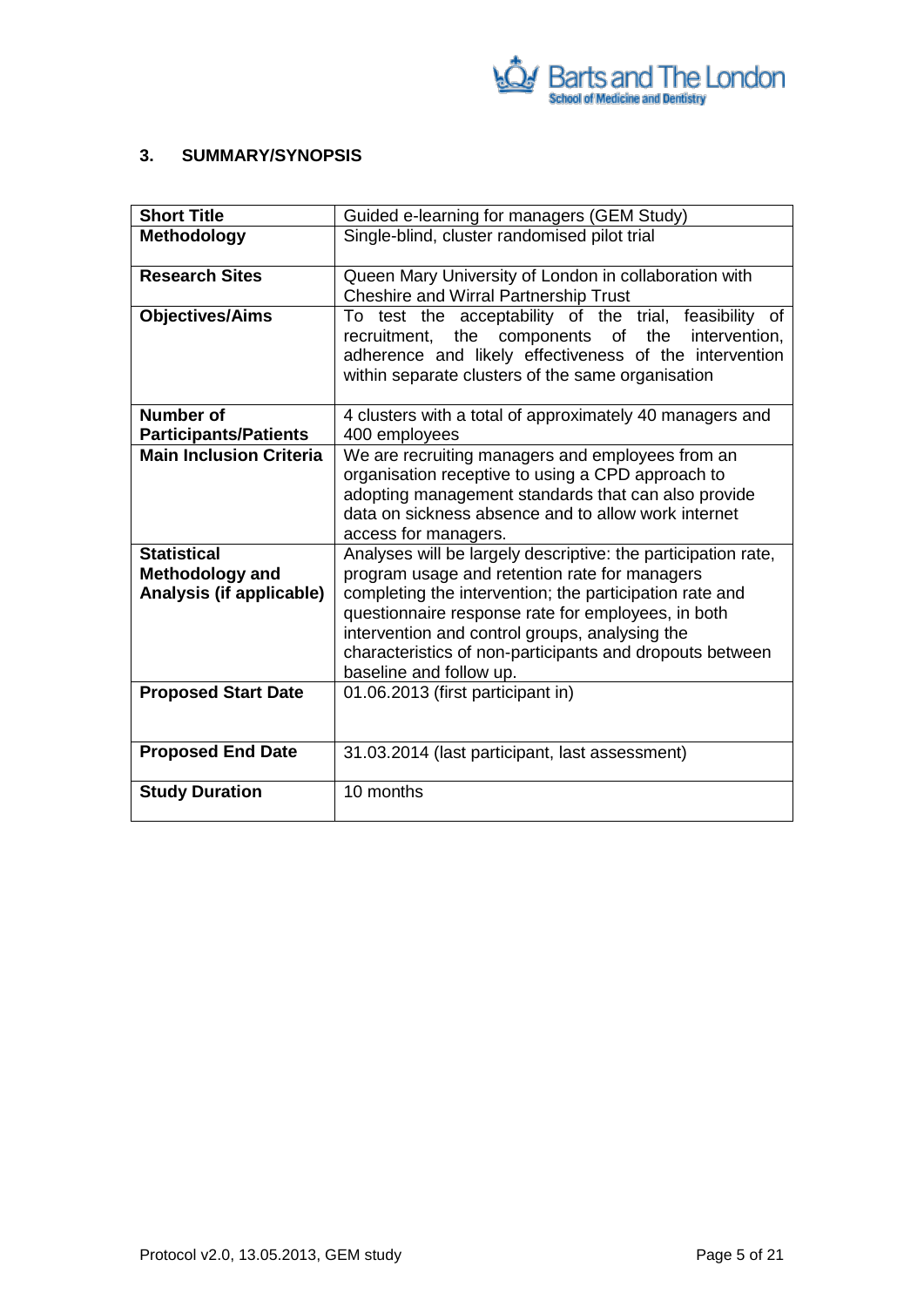

## <span id="page-4-0"></span>**3. SUMMARY/SYNOPSIS**

| <b>Short Title</b>             | Guided e-learning for managers (GEM Study)                                                                                                                                                                                                  |  |  |  |
|--------------------------------|---------------------------------------------------------------------------------------------------------------------------------------------------------------------------------------------------------------------------------------------|--|--|--|
| <b>Methodology</b>             | Single-blind, cluster randomised pilot trial                                                                                                                                                                                                |  |  |  |
| <b>Research Sites</b>          | Queen Mary University of London in collaboration with<br><b>Cheshire and Wirral Partnership Trust</b>                                                                                                                                       |  |  |  |
| <b>Objectives/Aims</b>         | To test the acceptability of the trial, feasibility of<br>recruitment, the<br>components of<br>the<br>intervention,<br>adherence and likely effectiveness of the intervention<br>within separate clusters of the same organisation          |  |  |  |
| <b>Number of</b>               | 4 clusters with a total of approximately 40 managers and                                                                                                                                                                                    |  |  |  |
| <b>Participants/Patients</b>   | 400 employees                                                                                                                                                                                                                               |  |  |  |
| <b>Main Inclusion Criteria</b> | We are recruiting managers and employees from an<br>organisation receptive to using a CPD approach to<br>adopting management standards that can also provide<br>data on sickness absence and to allow work internet<br>access for managers. |  |  |  |
| <b>Statistical</b>             | Analyses will be largely descriptive: the participation rate,                                                                                                                                                                               |  |  |  |
| <b>Methodology and</b>         | program usage and retention rate for managers                                                                                                                                                                                               |  |  |  |
| Analysis (if applicable)       | completing the intervention; the participation rate and<br>questionnaire response rate for employees, in both                                                                                                                               |  |  |  |
|                                | intervention and control groups, analysing the                                                                                                                                                                                              |  |  |  |
|                                | characteristics of non-participants and dropouts between<br>baseline and follow up.                                                                                                                                                         |  |  |  |
| <b>Proposed Start Date</b>     | 01.06.2013 (first participant in)                                                                                                                                                                                                           |  |  |  |
|                                |                                                                                                                                                                                                                                             |  |  |  |
| <b>Proposed End Date</b>       | 31.03.2014 (last participant, last assessment)                                                                                                                                                                                              |  |  |  |
| <b>Study Duration</b>          | 10 months                                                                                                                                                                                                                                   |  |  |  |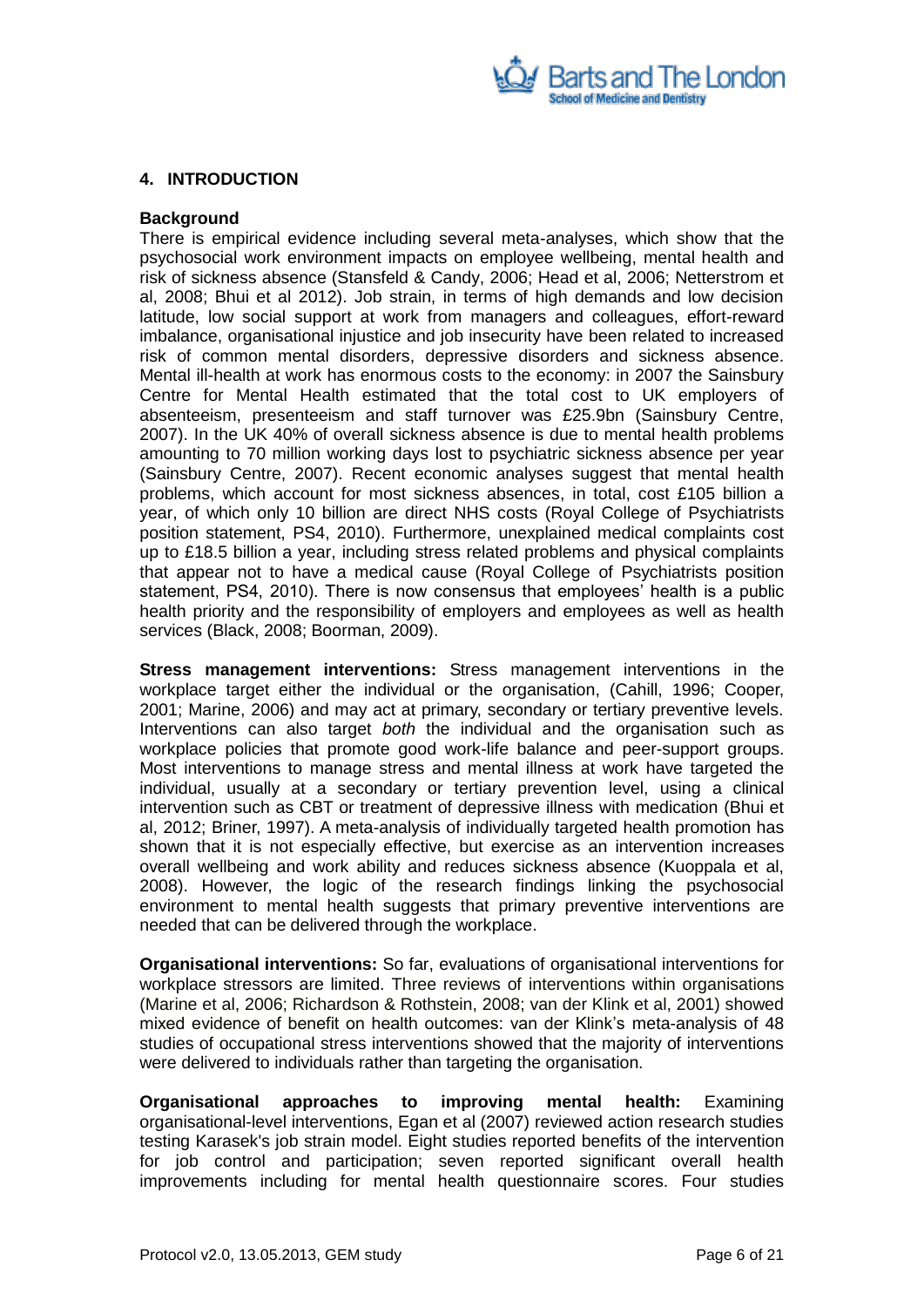

## <span id="page-5-0"></span>**4. INTRODUCTION**

#### **Background**

There is empirical evidence including several meta-analyses, which show that the psychosocial work environment impacts on employee wellbeing, mental health and risk of sickness absence (Stansfeld & Candy, 2006; Head et al, 2006; Netterstrom et al, 2008; Bhui et al 2012). Job strain, in terms of high demands and low decision latitude, low social support at work from managers and colleagues, effort-reward imbalance, organisational injustice and job insecurity have been related to increased risk of common mental disorders, depressive disorders and sickness absence. Mental ill-health at work has enormous costs to the economy: in 2007 the Sainsbury Centre for Mental Health estimated that the total cost to UK employers of absenteeism, presenteeism and staff turnover was £25.9bn (Sainsbury Centre, 2007). In the UK 40% of overall sickness absence is due to mental health problems amounting to 70 million working days lost to psychiatric sickness absence per year (Sainsbury Centre, 2007). Recent economic analyses suggest that mental health problems, which account for most sickness absences, in total, cost £105 billion a year, of which only 10 billion are direct NHS costs (Royal College of Psychiatrists position statement, PS4, 2010). Furthermore, unexplained medical complaints cost up to £18.5 billion a year, including stress related problems and physical complaints that appear not to have a medical cause (Royal College of Psychiatrists position statement, PS4, 2010). There is now consensus that employees" health is a public health priority and the responsibility of employers and employees as well as health services (Black, 2008; Boorman, 2009).

**Stress management interventions:** Stress management interventions in the workplace target either the individual or the organisation, (Cahill, 1996; Cooper, 2001; Marine, 2006) and may act at primary, secondary or tertiary preventive levels. Interventions can also target *both* the individual and the organisation such as workplace policies that promote good work-life balance and peer-support groups. Most interventions to manage stress and mental illness at work have targeted the individual, usually at a secondary or tertiary prevention level, using a clinical intervention such as CBT or treatment of depressive illness with medication (Bhui et al, 2012; Briner, 1997). A meta-analysis of individually targeted health promotion has shown that it is not especially effective, but exercise as an intervention increases overall wellbeing and work ability and reduces sickness absence (Kuoppala et al, 2008). However, the logic of the research findings linking the psychosocial environment to mental health suggests that primary preventive interventions are needed that can be delivered through the workplace.

**Organisational interventions:** So far, evaluations of organisational interventions for workplace stressors are limited. Three reviews of interventions within organisations (Marine et al, 2006; Richardson & Rothstein, 2008; van der Klink et al, 2001) showed mixed evidence of benefit on health outcomes: van der Klink"s meta-analysis of 48 studies of occupational stress interventions showed that the majority of interventions were delivered to individuals rather than targeting the organisation.

**Organisational approaches to improving mental health:** Examining organisational-level interventions, Egan et al (2007) reviewed action research studies testing Karasek's job strain model. Eight studies reported benefits of the intervention for job control and participation; seven reported significant overall health improvements including for mental health questionnaire scores. Four studies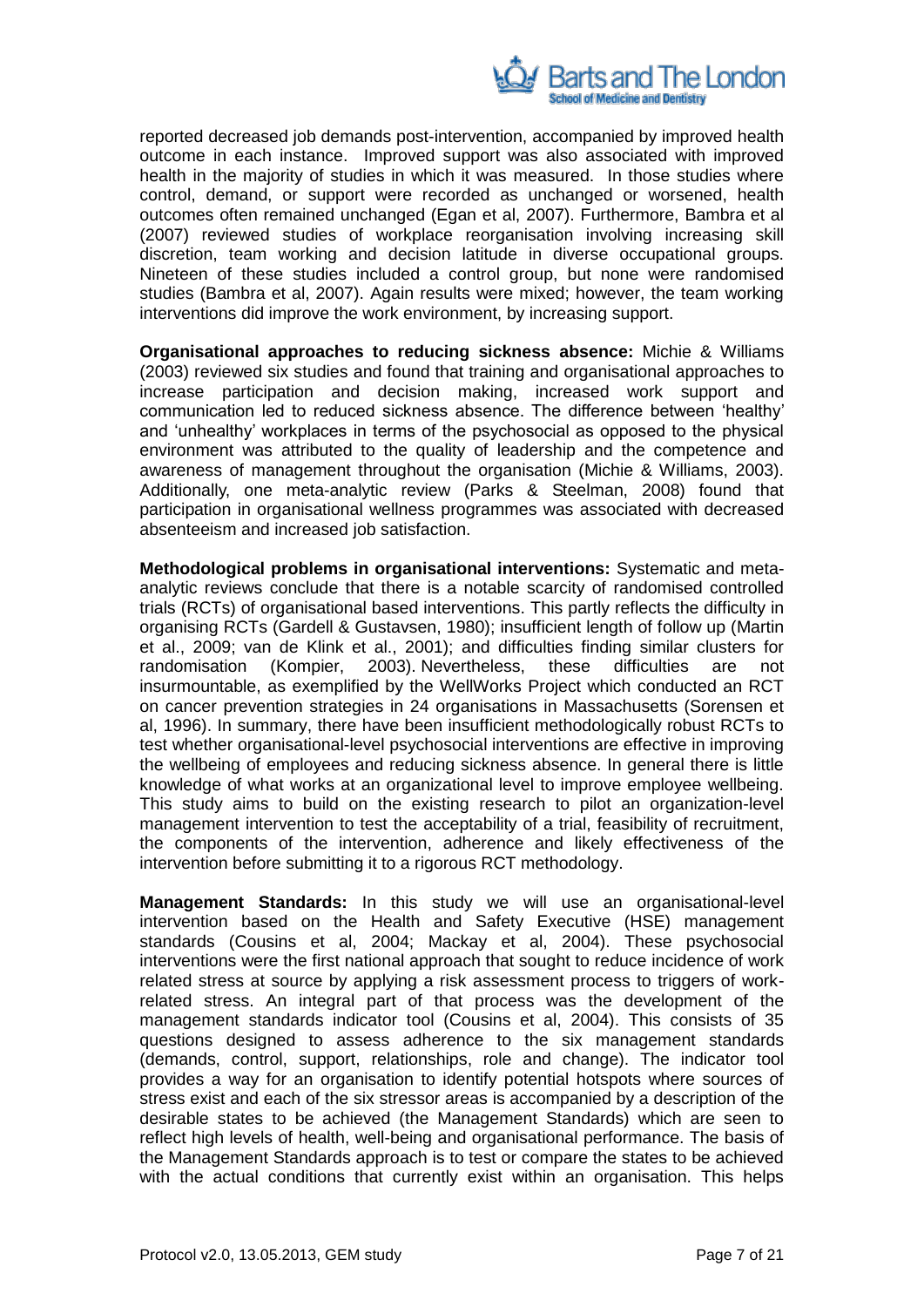

reported decreased job demands post-intervention, accompanied by improved health outcome in each instance. Improved support was also associated with improved health in the majority of studies in which it was measured. In those studies where control, demand, or support were recorded as unchanged or worsened, health outcomes often remained unchanged (Egan et al, 2007). Furthermore, Bambra et al (2007) reviewed studies of workplace reorganisation involving increasing skill discretion, team working and decision latitude in diverse occupational groups. Nineteen of these studies included a control group, but none were randomised studies (Bambra et al, 2007). Again results were mixed; however, the team working interventions did improve the work environment, by increasing support.

**Organisational approaches to reducing sickness absence:** Michie & Williams (2003) reviewed six studies and found that training and organisational approaches to increase participation and decision making, increased work support and communication led to reduced sickness absence. The difference between "healthy" and "unhealthy" workplaces in terms of the psychosocial as opposed to the physical environment was attributed to the quality of leadership and the competence and awareness of management throughout the organisation (Michie & Williams, 2003). Additionally, one meta-analytic review (Parks & Steelman, 2008) found that participation in organisational wellness programmes was associated with decreased absenteeism and increased job satisfaction.

**Methodological problems in organisational interventions:** Systematic and metaanalytic reviews conclude that there is a notable scarcity of randomised controlled trials (RCTs) of organisational based interventions. This partly reflects the difficulty in organising RCTs (Gardell & Gustavsen, 1980); insufficient length of follow up (Martin et al., 2009; van de Klink et al., 2001); and difficulties finding similar clusters for randomisation (Kompier, 2003). Nevertheless, these difficulties are not insurmountable, as exemplified by the WellWorks Project which conducted an RCT on cancer prevention strategies in 24 organisations in Massachusetts (Sorensen et al, 1996). In summary, there have been insufficient methodologically robust RCTs to test whether organisational-level psychosocial interventions are effective in improving the wellbeing of employees and reducing sickness absence. In general there is little knowledge of what works at an organizational level to improve employee wellbeing. This study aims to build on the existing research to pilot an organization-level management intervention to test the acceptability of a trial, feasibility of recruitment, the components of the intervention, adherence and likely effectiveness of the intervention before submitting it to a rigorous RCT methodology.

**Management Standards:** In this study we will use an organisational-level intervention based on the Health and Safety Executive (HSE) management standards (Cousins et al, 2004; Mackay et al, 2004). These psychosocial interventions were the first national approach that sought to reduce incidence of work related stress at source by applying a risk assessment process to triggers of workrelated stress. An integral part of that process was the development of the management standards indicator tool (Cousins et al, 2004). This consists of 35 questions designed to assess adherence to the six management standards (demands, control, support, relationships, role and change). The indicator tool provides a way for an organisation to identify potential hotspots where sources of stress exist and each of the six stressor areas is accompanied by a description of the desirable states to be achieved (the Management Standards) which are seen to reflect high levels of health, well-being and organisational performance. The basis of the Management Standards approach is to test or compare the states to be achieved with the actual conditions that currently exist within an organisation. This helps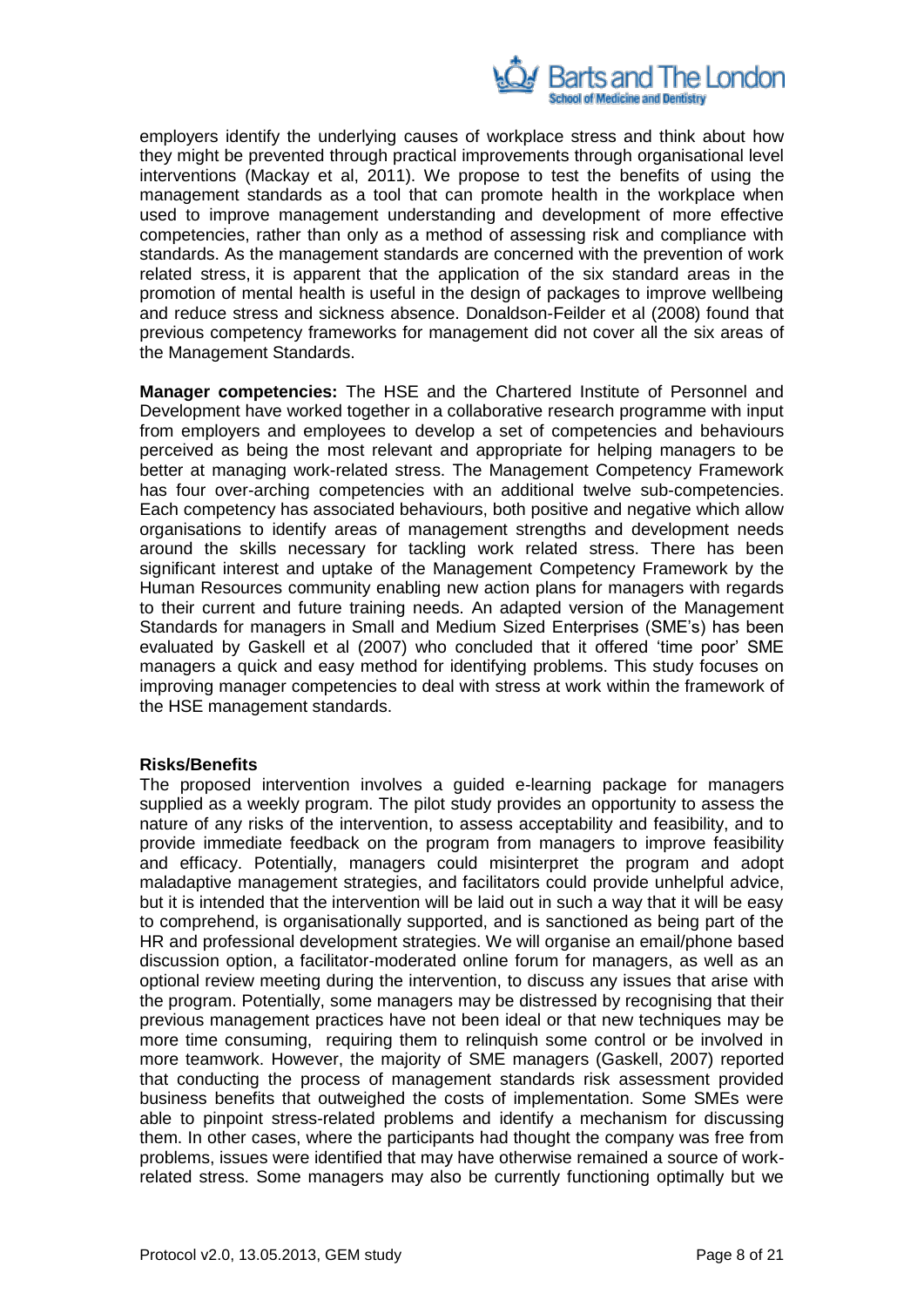

employers identify the underlying causes of workplace stress and think about how they might be prevented through practical improvements through organisational level interventions (Mackay et al, 2011). We propose to test the benefits of using the management standards as a tool that can promote health in the workplace when used to improve management understanding and development of more effective competencies, rather than only as a method of assessing risk and compliance with standards. As the management standards are concerned with the prevention of work related stress, it is apparent that the application of the six standard areas in the promotion of mental health is useful in the design of packages to improve wellbeing and reduce stress and sickness absence. Donaldson-Feilder et al (2008) found that previous competency frameworks for management did not cover all the six areas of the Management Standards.

**Manager competencies:** The HSE and the Chartered Institute of Personnel and Development have worked together in a collaborative research programme with input from employers and employees to develop a set of competencies and behaviours perceived as being the most relevant and appropriate for helping managers to be better at managing work-related stress. The Management Competency Framework has four over-arching competencies with an additional twelve sub-competencies. Each competency has associated behaviours, both positive and negative which allow organisations to identify areas of management strengths and development needs around the skills necessary for tackling work related stress. There has been significant interest and uptake of the Management Competency Framework by the Human Resources community enabling new action plans for managers with regards to their current and future training needs. An adapted version of the Management Standards for managers in Small and Medium Sized Enterprises (SME"s) has been evaluated by Gaskell et al (2007) who concluded that it offered "time poor" SME managers a quick and easy method for identifying problems. This study focuses on improving manager competencies to deal with stress at work within the framework of the HSE management standards.

#### **Risks/Benefits**

The proposed intervention involves a guided e-learning package for managers supplied as a weekly program. The pilot study provides an opportunity to assess the nature of any risks of the intervention, to assess acceptability and feasibility, and to provide immediate feedback on the program from managers to improve feasibility and efficacy. Potentially, managers could misinterpret the program and adopt maladaptive management strategies, and facilitators could provide unhelpful advice, but it is intended that the intervention will be laid out in such a way that it will be easy to comprehend, is organisationally supported, and is sanctioned as being part of the HR and professional development strategies. We will organise an email/phone based discussion option, a facilitator-moderated online forum for managers, as well as an optional review meeting during the intervention, to discuss any issues that arise with the program. Potentially, some managers may be distressed by recognising that their previous management practices have not been ideal or that new techniques may be more time consuming, requiring them to relinquish some control or be involved in more teamwork. However, the majority of SME managers (Gaskell, 2007) reported that conducting the process of management standards risk assessment provided business benefits that outweighed the costs of implementation. Some SMEs were able to pinpoint stress-related problems and identify a mechanism for discussing them. In other cases, where the participants had thought the company was free from problems, issues were identified that may have otherwise remained a source of workrelated stress. Some managers may also be currently functioning optimally but we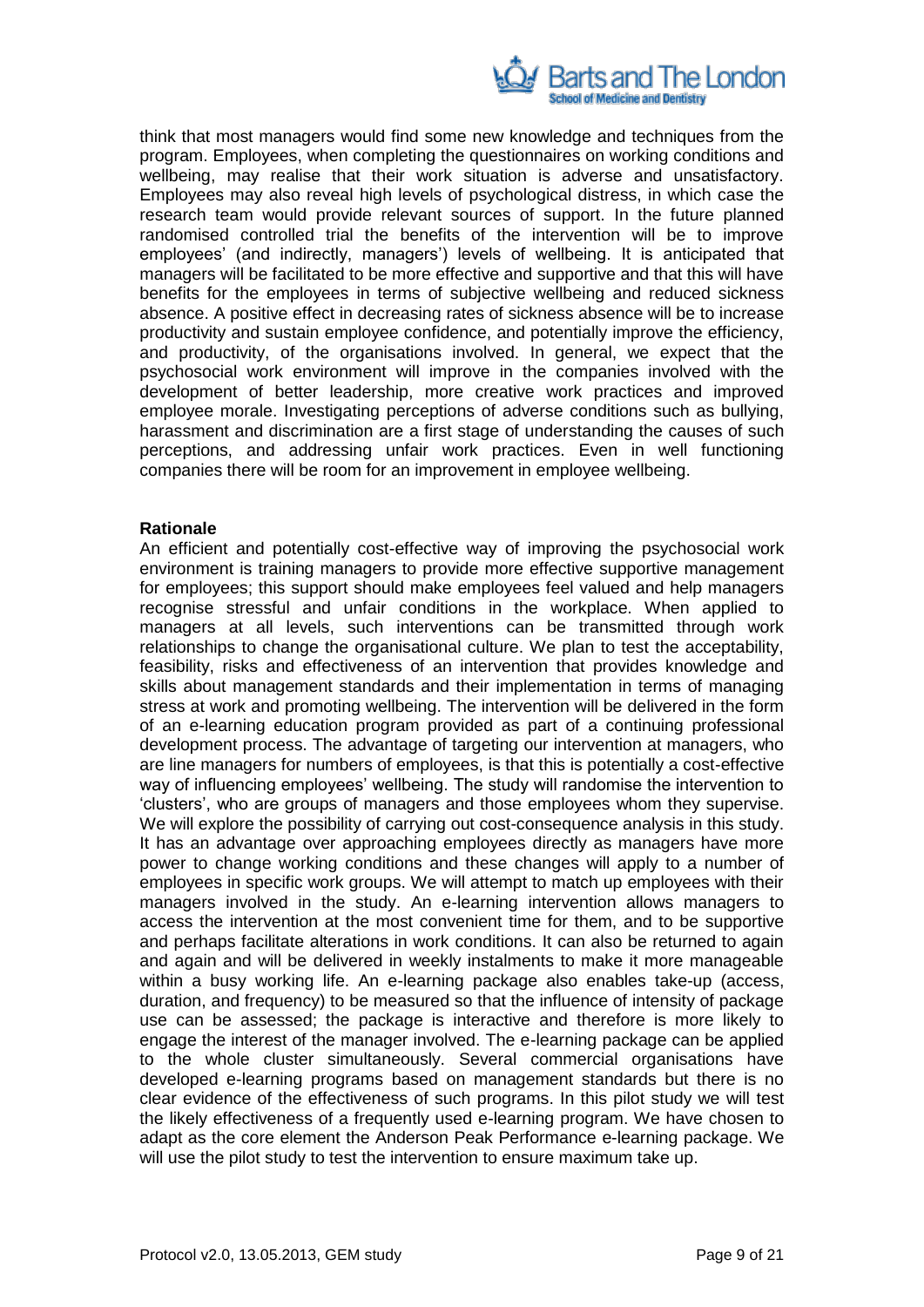

think that most managers would find some new knowledge and techniques from the program. Employees, when completing the questionnaires on working conditions and wellbeing, may realise that their work situation is adverse and unsatisfactory. Employees may also reveal high levels of psychological distress, in which case the research team would provide relevant sources of support. In the future planned randomised controlled trial the benefits of the intervention will be to improve employees' (and indirectly, managers') levels of wellbeing. It is anticipated that managers will be facilitated to be more effective and supportive and that this will have benefits for the employees in terms of subjective wellbeing and reduced sickness absence. A positive effect in decreasing rates of sickness absence will be to increase productivity and sustain employee confidence, and potentially improve the efficiency, and productivity, of the organisations involved. In general, we expect that the psychosocial work environment will improve in the companies involved with the development of better leadership, more creative work practices and improved employee morale. Investigating perceptions of adverse conditions such as bullying, harassment and discrimination are a first stage of understanding the causes of such perceptions, and addressing unfair work practices. Even in well functioning companies there will be room for an improvement in employee wellbeing.

#### **Rationale**

An efficient and potentially cost-effective way of improving the psychosocial work environment is training managers to provide more effective supportive management for employees; this support should make employees feel valued and help managers recognise stressful and unfair conditions in the workplace. When applied to managers at all levels, such interventions can be transmitted through work relationships to change the organisational culture. We plan to test the acceptability, feasibility, risks and effectiveness of an intervention that provides knowledge and skills about management standards and their implementation in terms of managing stress at work and promoting wellbeing. The intervention will be delivered in the form of an e-learning education program provided as part of a continuing professional development process. The advantage of targeting our intervention at managers, who are line managers for numbers of employees, is that this is potentially a cost-effective way of influencing employees' wellbeing. The study will randomise the intervention to "clusters", who are groups of managers and those employees whom they supervise. We will explore the possibility of carrying out cost-consequence analysis in this study. It has an advantage over approaching employees directly as managers have more power to change working conditions and these changes will apply to a number of employees in specific work groups. We will attempt to match up employees with their managers involved in the study. An e-learning intervention allows managers to access the intervention at the most convenient time for them, and to be supportive and perhaps facilitate alterations in work conditions. It can also be returned to again and again and will be delivered in weekly instalments to make it more manageable within a busy working life. An e-learning package also enables take-up (access, duration, and frequency) to be measured so that the influence of intensity of package use can be assessed; the package is interactive and therefore is more likely to engage the interest of the manager involved. The e-learning package can be applied to the whole cluster simultaneously. Several commercial organisations have developed e-learning programs based on management standards but there is no clear evidence of the effectiveness of such programs. In this pilot study we will test the likely effectiveness of a frequently used e-learning program. We have chosen to adapt as the core element the Anderson Peak Performance e-learning package. We will use the pilot study to test the intervention to ensure maximum take up.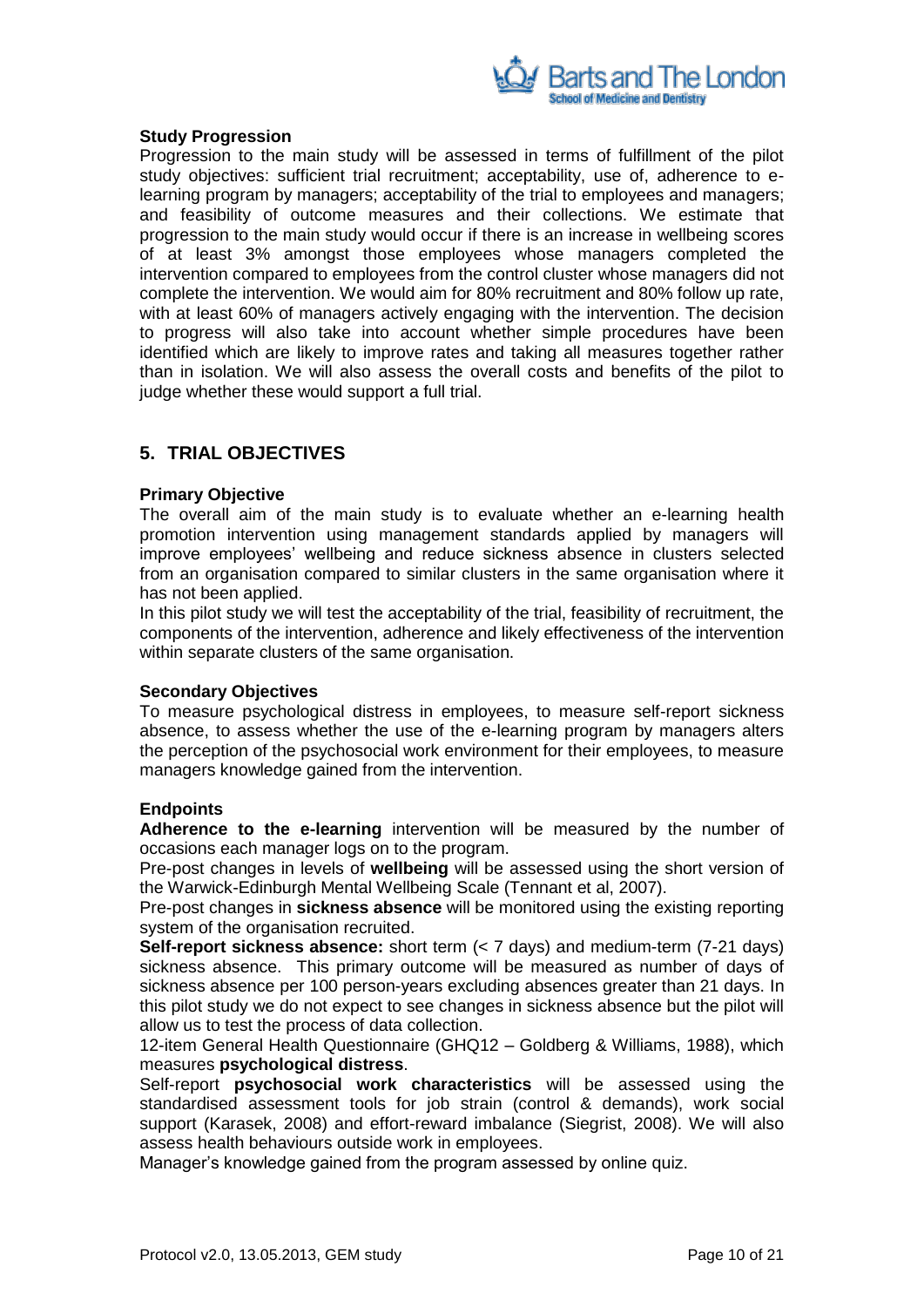

#### **Study Progression**

Progression to the main study will be assessed in terms of fulfillment of the pilot study objectives: sufficient trial recruitment; acceptability, use of, adherence to elearning program by managers; acceptability of the trial to employees and managers; and feasibility of outcome measures and their collections. We estimate that progression to the main study would occur if there is an increase in wellbeing scores of at least 3% amongst those employees whose managers completed the intervention compared to employees from the control cluster whose managers did not complete the intervention. We would aim for 80% recruitment and 80% follow up rate, with at least 60% of managers actively engaging with the intervention. The decision to progress will also take into account whether simple procedures have been identified which are likely to improve rates and taking all measures together rather than in isolation. We will also assess the overall costs and benefits of the pilot to judge whether these would support a full trial.

## <span id="page-9-0"></span>**5. TRIAL OBJECTIVES**

#### **Primary Objective**

The overall aim of the main study is to evaluate whether an e-learning health promotion intervention using management standards applied by managers will improve employees" wellbeing and reduce sickness absence in clusters selected from an organisation compared to similar clusters in the same organisation where it has not been applied.

In this pilot study we will test the acceptability of the trial, feasibility of recruitment, the components of the intervention, adherence and likely effectiveness of the intervention within separate clusters of the same organisation.

#### **Secondary Objectives**

To measure psychological distress in employees, to measure self-report sickness absence, to assess whether the use of the e-learning program by managers alters the perception of the psychosocial work environment for their employees, to measure managers knowledge gained from the intervention.

## **Endpoints**

**Adherence to the e-learning** intervention will be measured by the number of occasions each manager logs on to the program.

Pre-post changes in levels of **wellbeing** will be assessed using the short version of the Warwick-Edinburgh Mental Wellbeing Scale (Tennant et al, 2007).

Pre-post changes in **sickness absence** will be monitored using the existing reporting system of the organisation recruited.

**Self-report sickness absence:** short term (< 7 days) and medium-term (7-21 days) sickness absence. This primary outcome will be measured as number of days of sickness absence per 100 person-years excluding absences greater than 21 days. In this pilot study we do not expect to see changes in sickness absence but the pilot will allow us to test the process of data collection.

12-item General Health Questionnaire (GHQ12 – Goldberg & Williams, 1988), which measures **psychological distress**.

Self-report **psychosocial work characteristics** will be assessed using the standardised assessment tools for job strain (control & demands), work social support (Karasek, 2008) and effort-reward imbalance (Siegrist, 2008). We will also assess health behaviours outside work in employees.

Manager's knowledge gained from the program assessed by online quiz.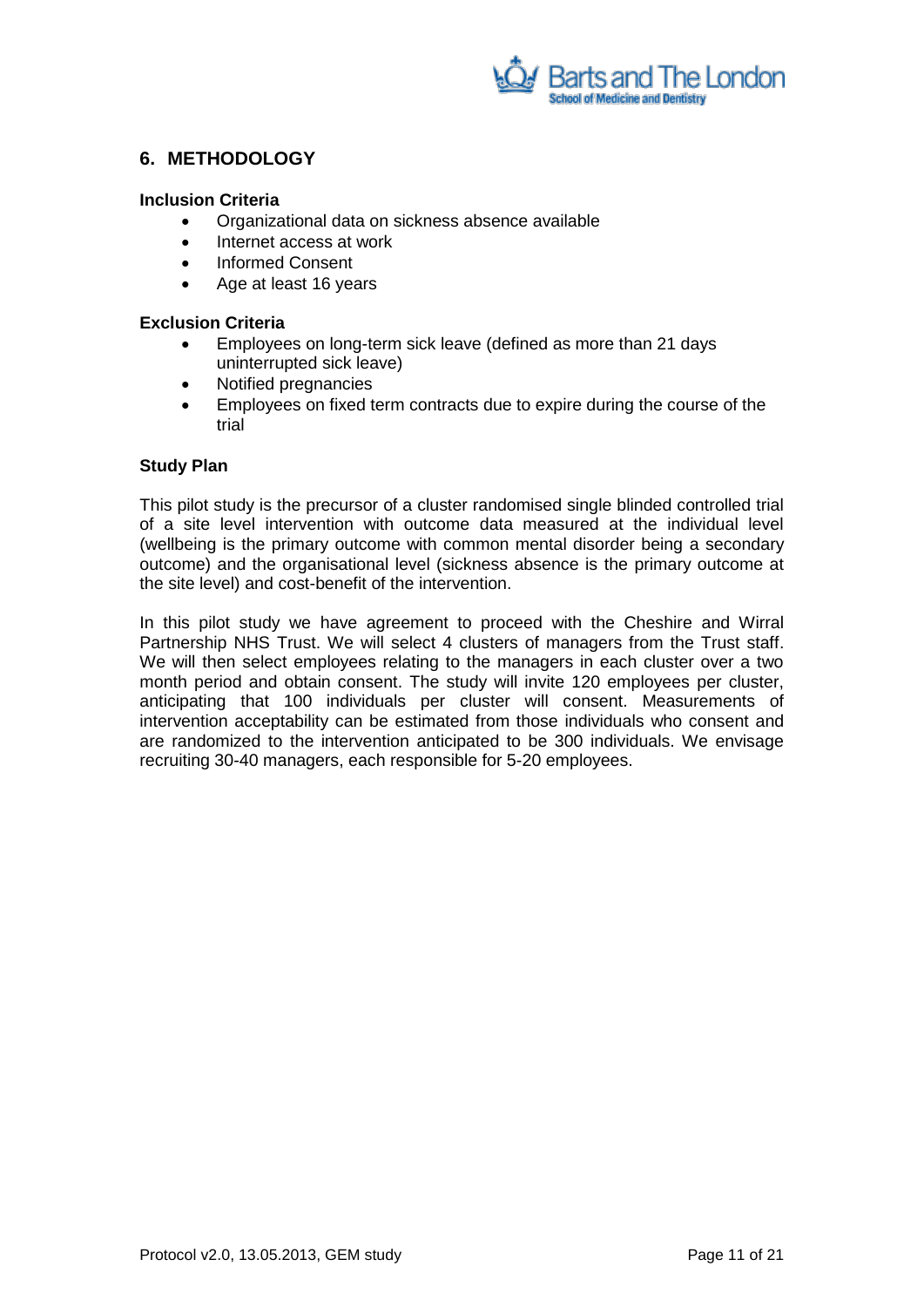

## <span id="page-10-0"></span>**6. METHODOLOGY**

## **Inclusion Criteria**

- Organizational data on sickness absence available
- Internet access at work
- Informed Consent
- Age at least 16 years

## **Exclusion Criteria**

- Employees on long-term sick leave (defined as more than 21 days uninterrupted sick leave)
- Notified pregnancies
- Employees on fixed term contracts due to expire during the course of the trial

## **Study Plan**

This pilot study is the precursor of a cluster randomised single blinded controlled trial of a site level intervention with outcome data measured at the individual level (wellbeing is the primary outcome with common mental disorder being a secondary outcome) and the organisational level (sickness absence is the primary outcome at the site level) and cost-benefit of the intervention.

In this pilot study we have agreement to proceed with the Cheshire and Wirral Partnership NHS Trust. We will select 4 clusters of managers from the Trust staff. We will then select employees relating to the managers in each cluster over a two month period and obtain consent. The study will invite 120 employees per cluster, anticipating that 100 individuals per cluster will consent. Measurements of intervention acceptability can be estimated from those individuals who consent and are randomized to the intervention anticipated to be 300 individuals. We envisage recruiting 30-40 managers, each responsible for 5-20 employees.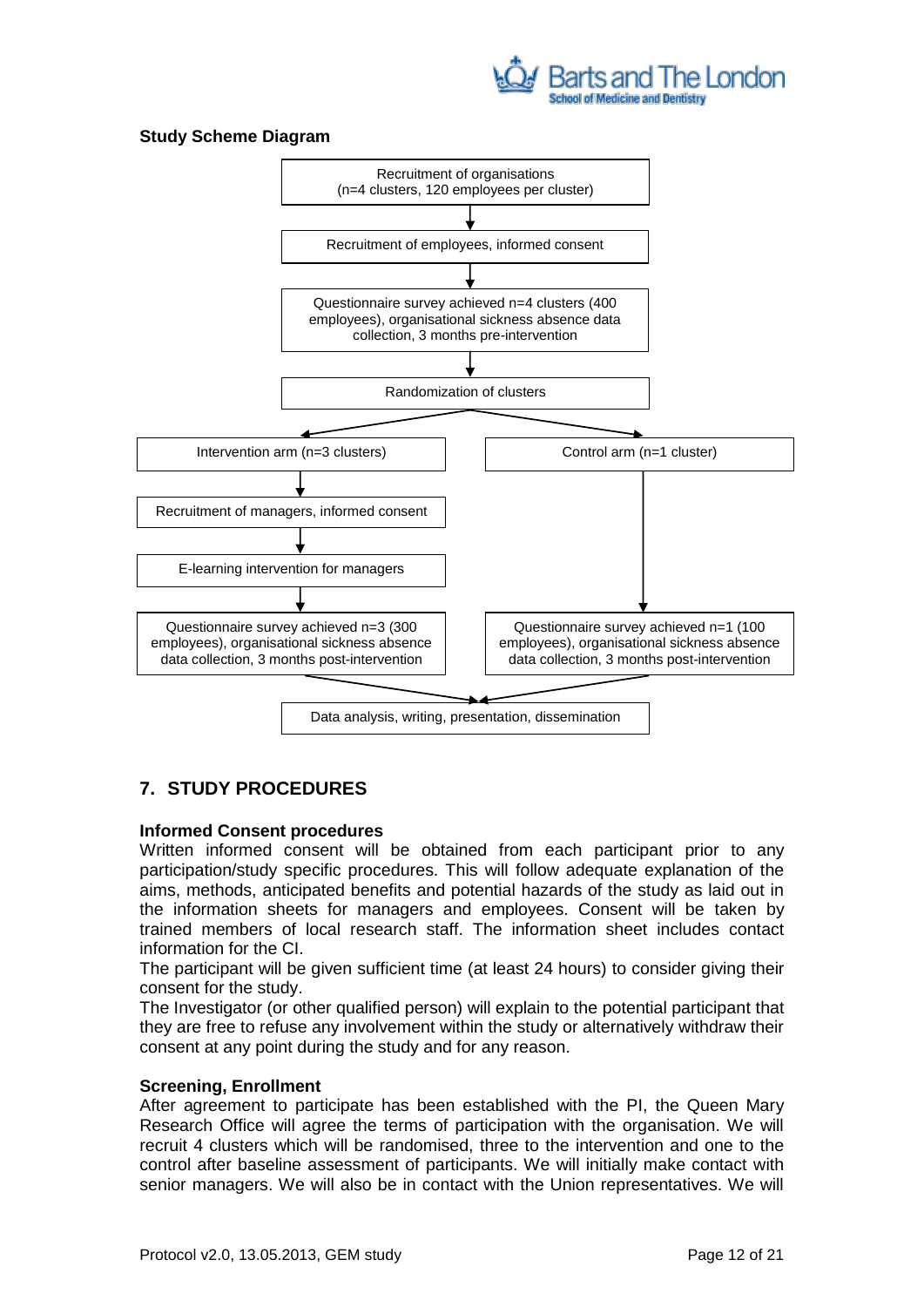

## **Study Scheme Diagram**



## <span id="page-11-0"></span>**7. STUDY PROCEDURES**

#### **Informed Consent procedures**

Written informed consent will be obtained from each participant prior to any participation/study specific procedures. This will follow adequate explanation of the aims, methods, anticipated benefits and potential hazards of the study as laid out in the information sheets for managers and employees. Consent will be taken by trained members of local research staff. The information sheet includes contact information for the CI.

The participant will be given sufficient time (at least 24 hours) to consider giving their consent for the study.

The Investigator (or other qualified person) will explain to the potential participant that they are free to refuse any involvement within the study or alternatively withdraw their consent at any point during the study and for any reason.

#### **Screening, Enrollment**

After agreement to participate has been established with the PI, the Queen Mary Research Office will agree the terms of participation with the organisation. We will recruit 4 clusters which will be randomised, three to the intervention and one to the control after baseline assessment of participants. We will initially make contact with senior managers. We will also be in contact with the Union representatives. We will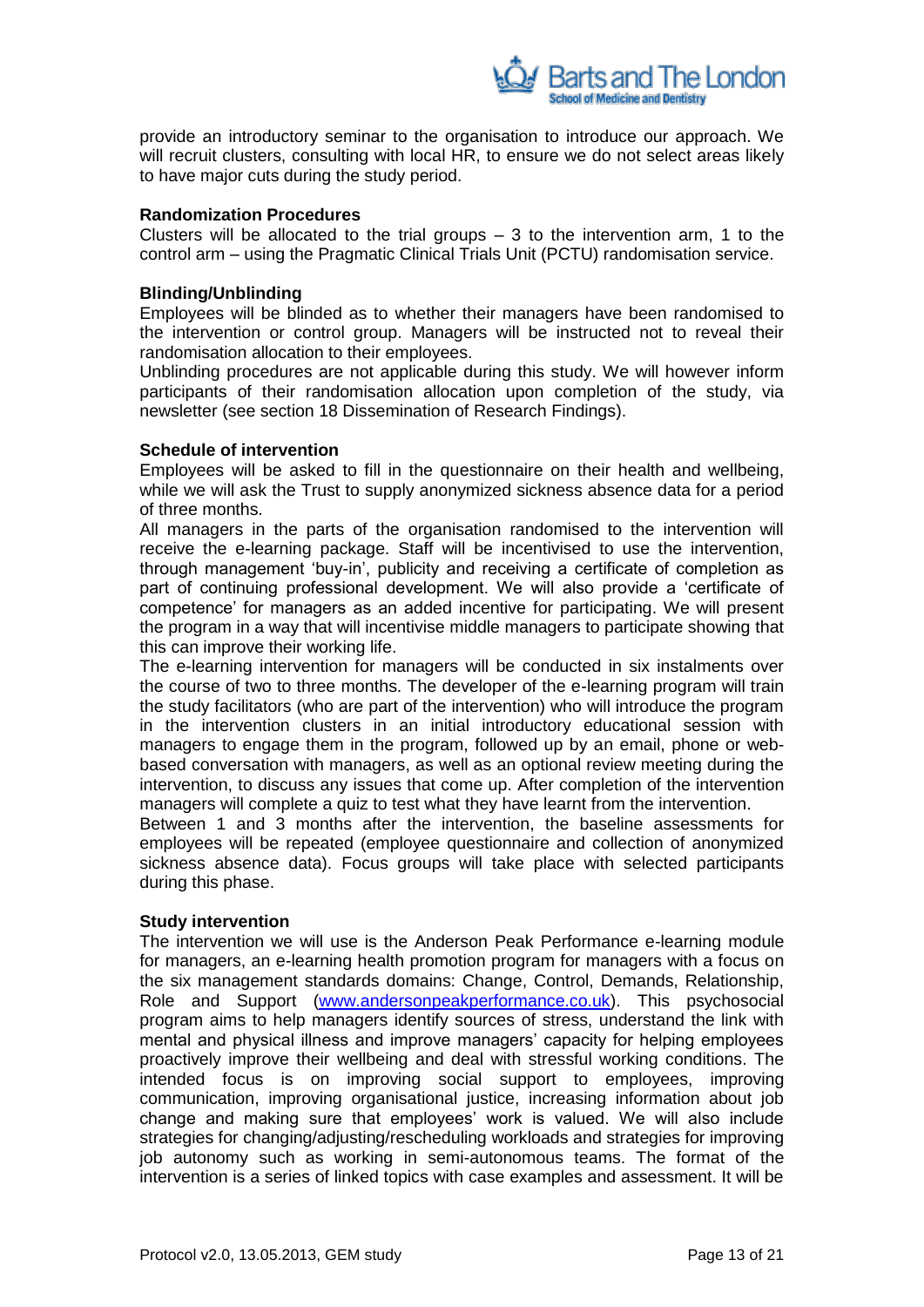

provide an introductory seminar to the organisation to introduce our approach. We will recruit clusters, consulting with local HR, to ensure we do not select areas likely to have major cuts during the study period.

## **Randomization Procedures**

Clusters will be allocated to the trial groups  $-3$  to the intervention arm, 1 to the control arm – using the Pragmatic Clinical Trials Unit (PCTU) randomisation service.

#### **Blinding/Unblinding**

Employees will be blinded as to whether their managers have been randomised to the intervention or control group. Managers will be instructed not to reveal their randomisation allocation to their employees.

Unblinding procedures are not applicable during this study. We will however inform participants of their randomisation allocation upon completion of the study, via newsletter (see section 18 Dissemination of Research Findings).

#### **Schedule of intervention**

Employees will be asked to fill in the questionnaire on their health and wellbeing, while we will ask the Trust to supply anonymized sickness absence data for a period of three months.

All managers in the parts of the organisation randomised to the intervention will receive the e-learning package. Staff will be incentivised to use the intervention, through management "buy-in", publicity and receiving a certificate of completion as part of continuing professional development. We will also provide a "certificate of competence" for managers as an added incentive for participating. We will present the program in a way that will incentivise middle managers to participate showing that this can improve their working life.

The e-learning intervention for managers will be conducted in six instalments over the course of two to three months. The developer of the e-learning program will train the study facilitators (who are part of the intervention) who will introduce the program in the intervention clusters in an initial introductory educational session with managers to engage them in the program, followed up by an email, phone or webbased conversation with managers, as well as an optional review meeting during the intervention, to discuss any issues that come up. After completion of the intervention managers will complete a quiz to test what they have learnt from the intervention.

Between 1 and 3 months after the intervention, the baseline assessments for employees will be repeated (employee questionnaire and collection of anonymized sickness absence data). Focus groups will take place with selected participants during this phase.

#### **Study intervention**

The intervention we will use is the Anderson Peak Performance e-learning module for managers, an e-learning health promotion program for managers with a focus on the six management standards domains: Change, Control, Demands, Relationship, Role and Support [\(www.andersonpeakperformance.co.uk\)](http://www.andersonpeakperformance.co.uk/). This psychosocial program aims to help managers identify sources of stress, understand the link with mental and physical illness and improve managers' capacity for helping employees proactively improve their wellbeing and deal with stressful working conditions. The intended focus is on improving social support to employees, improving communication, improving organisational justice, increasing information about job change and making sure that employees" work is valued. We will also include strategies for changing/adjusting/rescheduling workloads and strategies for improving job autonomy such as working in semi-autonomous teams. The format of the intervention is a series of linked topics with case examples and assessment. It will be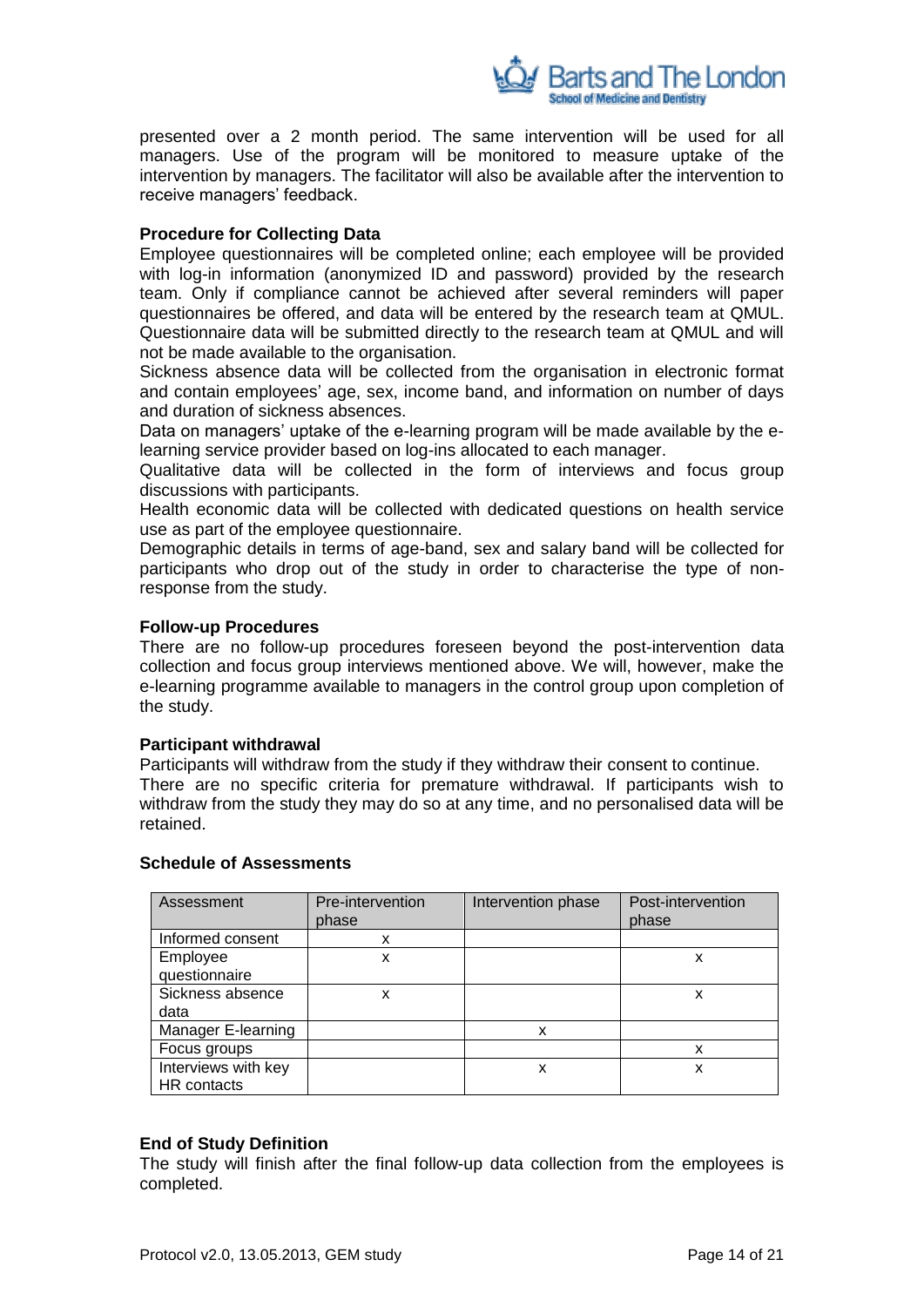

presented over a 2 month period. The same intervention will be used for all managers. Use of the program will be monitored to measure uptake of the intervention by managers. The facilitator will also be available after the intervention to receive managers' feedback.

#### **Procedure for Collecting Data**

Employee questionnaires will be completed online; each employee will be provided with log-in information (anonymized ID and password) provided by the research team. Only if compliance cannot be achieved after several reminders will paper questionnaires be offered, and data will be entered by the research team at QMUL. Questionnaire data will be submitted directly to the research team at QMUL and will not be made available to the organisation.

Sickness absence data will be collected from the organisation in electronic format and contain employees" age, sex, income band, and information on number of days and duration of sickness absences.

Data on managers' uptake of the e-learning program will be made available by the elearning service provider based on log-ins allocated to each manager.

Qualitative data will be collected in the form of interviews and focus group discussions with participants.

Health economic data will be collected with dedicated questions on health service use as part of the employee questionnaire.

Demographic details in terms of age-band, sex and salary band will be collected for participants who drop out of the study in order to characterise the type of nonresponse from the study.

#### **Follow-up Procedures**

There are no follow-up procedures foreseen beyond the post-intervention data collection and focus group interviews mentioned above. We will, however, make the e-learning programme available to managers in the control group upon completion of the study.

#### **Participant withdrawal**

Participants will withdraw from the study if they withdraw their consent to continue. There are no specific criteria for premature withdrawal. If participants wish to withdraw from the study they may do so at any time, and no personalised data will be retained.

| Assessment          | Pre-intervention<br>phase | Intervention phase | Post-intervention<br>phase |
|---------------------|---------------------------|--------------------|----------------------------|
| Informed consent    | x                         |                    |                            |
| Employee            | x                         |                    | x                          |
| questionnaire       |                           |                    |                            |
| Sickness absence    | x                         |                    | x                          |
| data                |                           |                    |                            |
| Manager E-learning  |                           | x                  |                            |
| Focus groups        |                           |                    | x                          |
| Interviews with key |                           | x                  | x                          |
| HR contacts         |                           |                    |                            |

## **Schedule of Assessments**

#### **End of Study Definition**

The study will finish after the final follow-up data collection from the employees is completed.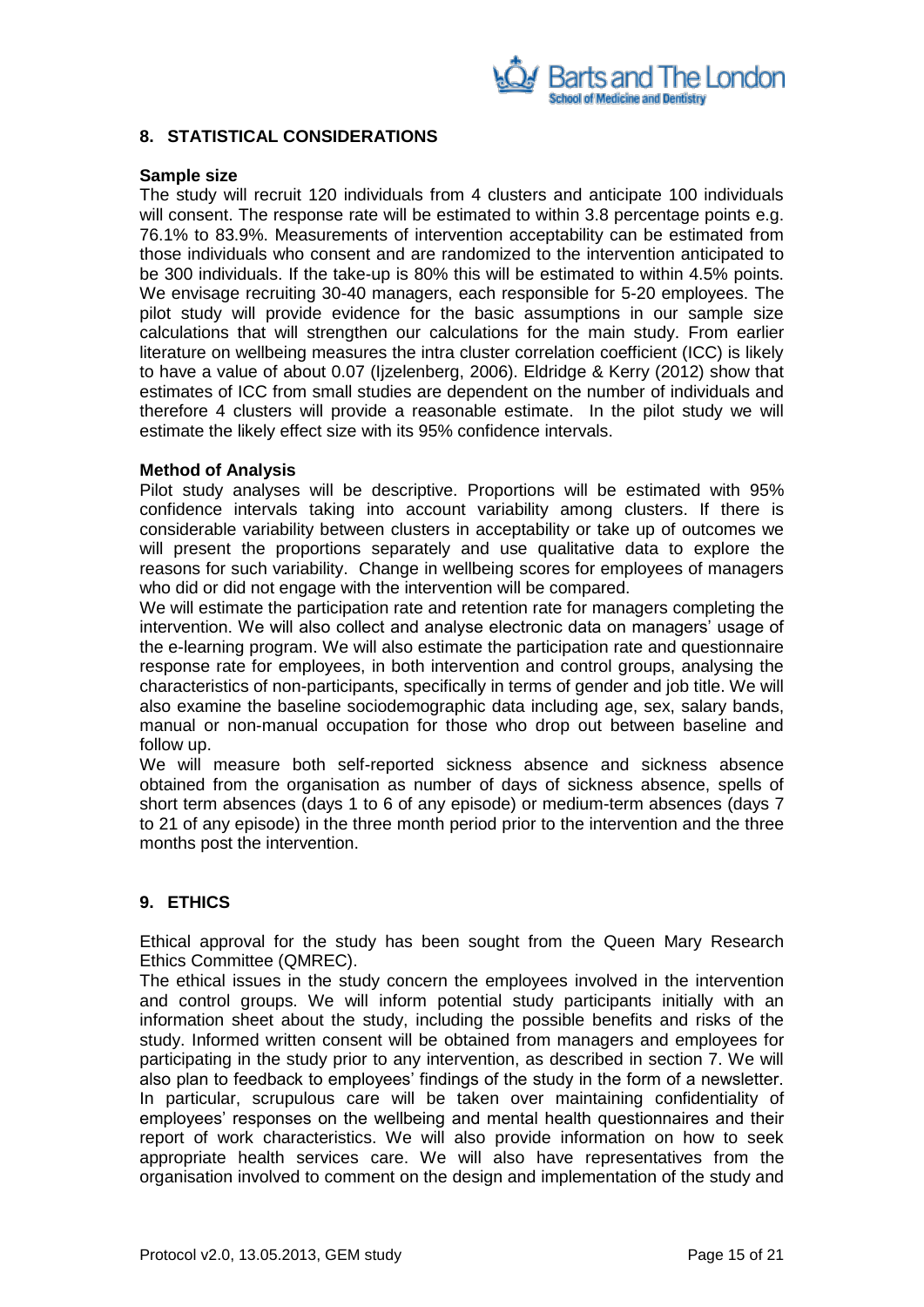

#### <span id="page-14-0"></span>**8. STATISTICAL CONSIDERATIONS**

#### **Sample size**

The study will recruit 120 individuals from 4 clusters and anticipate 100 individuals will consent. The response rate will be estimated to within 3.8 percentage points e.g. 76.1% to 83.9%. Measurements of intervention acceptability can be estimated from those individuals who consent and are randomized to the intervention anticipated to be 300 individuals. If the take-up is 80% this will be estimated to within 4.5% points. We envisage recruiting 30-40 managers, each responsible for 5-20 employees. The pilot study will provide evidence for the basic assumptions in our sample size calculations that will strengthen our calculations for the main study. From earlier literature on wellbeing measures the intra cluster correlation coefficient (ICC) is likely to have a value of about 0.07 (Ijzelenberg, 2006). Eldridge & Kerry (2012) show that estimates of ICC from small studies are dependent on the number of individuals and therefore 4 clusters will provide a reasonable estimate. In the pilot study we will estimate the likely effect size with its 95% confidence intervals.

#### **Method of Analysis**

Pilot study analyses will be descriptive. Proportions will be estimated with 95% confidence intervals taking into account variability among clusters. If there is considerable variability between clusters in acceptability or take up of outcomes we will present the proportions separately and use qualitative data to explore the reasons for such variability. Change in wellbeing scores for employees of managers who did or did not engage with the intervention will be compared.

We will estimate the participation rate and retention rate for managers completing the intervention. We will also collect and analyse electronic data on managers' usage of the e-learning program. We will also estimate the participation rate and questionnaire response rate for employees, in both intervention and control groups, analysing the characteristics of non-participants, specifically in terms of gender and job title. We will also examine the baseline sociodemographic data including age, sex, salary bands, manual or non-manual occupation for those who drop out between baseline and follow up.

We will measure both self-reported sickness absence and sickness absence obtained from the organisation as number of days of sickness absence, spells of short term absences (days 1 to 6 of any episode) or medium-term absences (days 7 to 21 of any episode) in the three month period prior to the intervention and the three months post the intervention.

## <span id="page-14-1"></span>**9. ETHICS**

Ethical approval for the study has been sought from the Queen Mary Research Ethics Committee (QMREC).

The ethical issues in the study concern the employees involved in the intervention and control groups. We will inform potential study participants initially with an information sheet about the study, including the possible benefits and risks of the study. Informed written consent will be obtained from managers and employees for participating in the study prior to any intervention, as described in section 7. We will also plan to feedback to employees" findings of the study in the form of a newsletter. In particular, scrupulous care will be taken over maintaining confidentiality of employees" responses on the wellbeing and mental health questionnaires and their report of work characteristics. We will also provide information on how to seek appropriate health services care. We will also have representatives from the organisation involved to comment on the design and implementation of the study and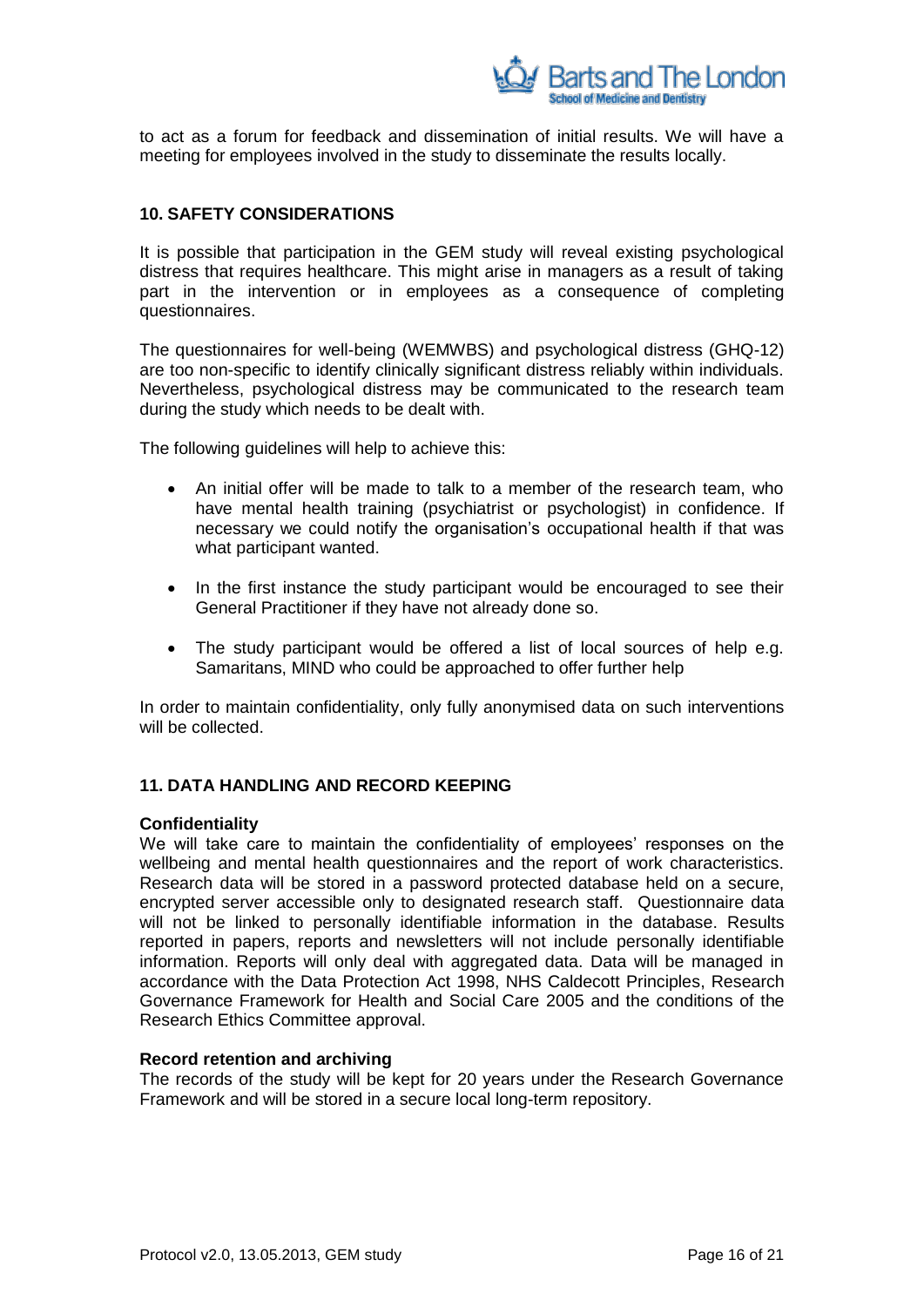

to act as a forum for feedback and dissemination of initial results. We will have a meeting for employees involved in the study to disseminate the results locally.

## <span id="page-15-0"></span>**10. SAFETY CONSIDERATIONS**

It is possible that participation in the GEM study will reveal existing psychological distress that requires healthcare. This might arise in managers as a result of taking part in the intervention or in employees as a consequence of completing questionnaires.

The questionnaires for well-being (WEMWBS) and psychological distress (GHQ-12) are too non-specific to identify clinically significant distress reliably within individuals. Nevertheless, psychological distress may be communicated to the research team during the study which needs to be dealt with.

The following guidelines will help to achieve this:

- An initial offer will be made to talk to a member of the research team, who have mental health training (psychiatrist or psychologist) in confidence. If necessary we could notify the organisation's occupational health if that was what participant wanted.
- In the first instance the study participant would be encouraged to see their General Practitioner if they have not already done so.
- The study participant would be offered a list of local sources of help e.g. Samaritans, MIND who could be approached to offer further help

In order to maintain confidentiality, only fully anonymised data on such interventions will be collected.

#### <span id="page-15-1"></span>**11. DATA HANDLING AND RECORD KEEPING**

#### **Confidentiality**

We will take care to maintain the confidentiality of employees' responses on the wellbeing and mental health questionnaires and the report of work characteristics. Research data will be stored in a password protected database held on a secure, encrypted server accessible only to designated research staff. Questionnaire data will not be linked to personally identifiable information in the database. Results reported in papers, reports and newsletters will not include personally identifiable information. Reports will only deal with aggregated data. Data will be managed in accordance with the Data Protection Act 1998, NHS Caldecott Principles, Research Governance Framework for Health and Social Care 2005 and the conditions of the Research Ethics Committee approval.

#### **Record retention and archiving**

The records of the study will be kept for 20 years under the Research Governance Framework and will be stored in a secure local long-term repository.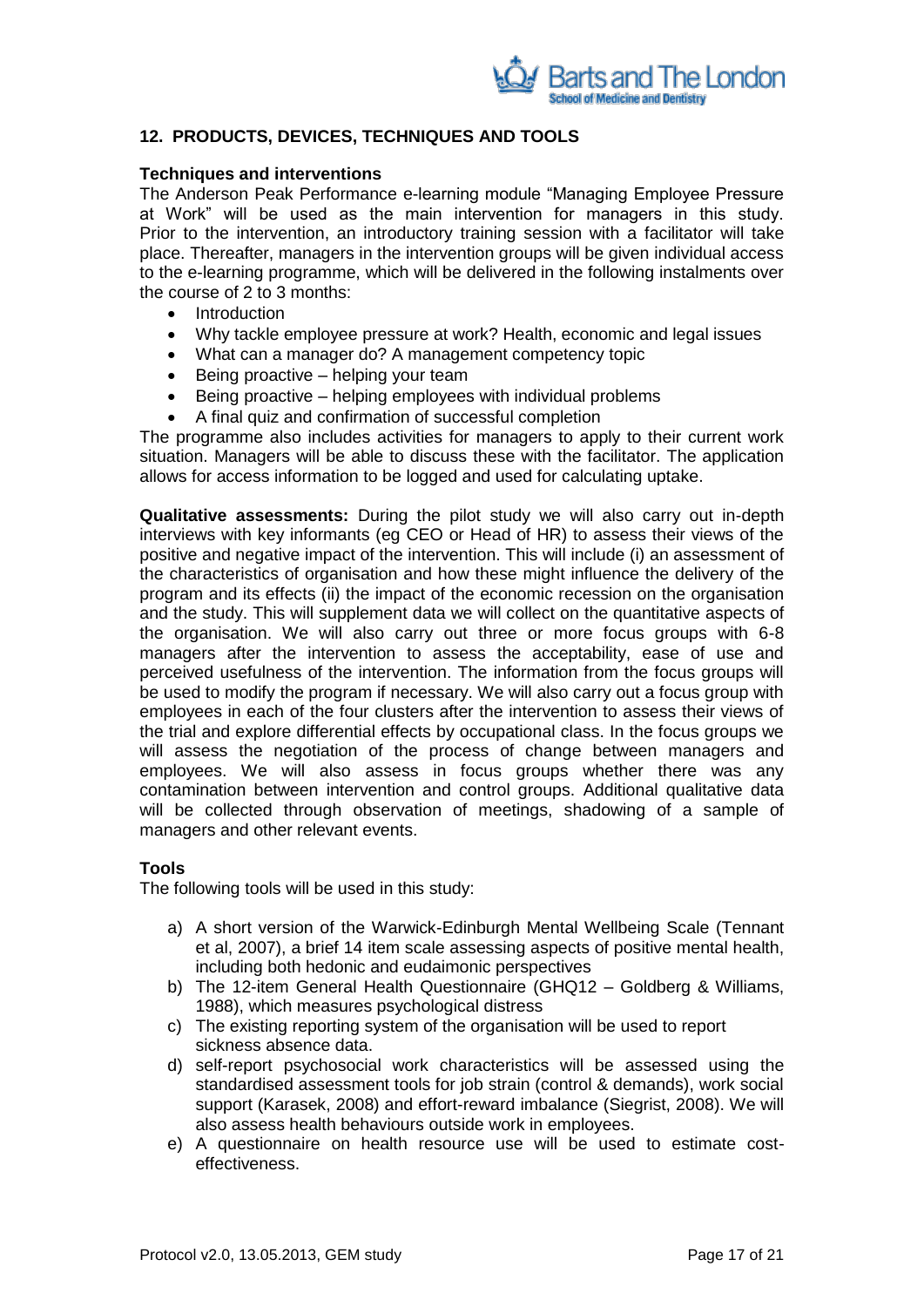

## <span id="page-16-0"></span>**12. PRODUCTS, DEVICES, TECHNIQUES AND TOOLS**

### **Techniques and interventions**

The Anderson Peak Performance e-learning module "Managing Employee Pressure at Work" will be used as the main intervention for managers in this study. Prior to the intervention, an introductory training session with a facilitator will take place. Thereafter, managers in the intervention groups will be given individual access to the e-learning programme, which will be delivered in the following instalments over the course of 2 to 3 months:

- Introduction
- Why tackle employee pressure at work? Health, economic and legal issues
- What can a manager do? A management competency topic
- $\bullet$  Being proactive helping your team
- Being proactive helping employees with individual problems
- A final quiz and confirmation of successful completion

The programme also includes activities for managers to apply to their current work situation. Managers will be able to discuss these with the facilitator. The application allows for access information to be logged and used for calculating uptake.

**Qualitative assessments:** During the pilot study we will also carry out in-depth interviews with key informants (eg CEO or Head of HR) to assess their views of the positive and negative impact of the intervention. This will include (i) an assessment of the characteristics of organisation and how these might influence the delivery of the program and its effects (ii) the impact of the economic recession on the organisation and the study. This will supplement data we will collect on the quantitative aspects of the organisation. We will also carry out three or more focus groups with 6-8 managers after the intervention to assess the acceptability, ease of use and perceived usefulness of the intervention. The information from the focus groups will be used to modify the program if necessary. We will also carry out a focus group with employees in each of the four clusters after the intervention to assess their views of the trial and explore differential effects by occupational class. In the focus groups we will assess the negotiation of the process of change between managers and employees. We will also assess in focus groups whether there was any contamination between intervention and control groups. Additional qualitative data will be collected through observation of meetings, shadowing of a sample of managers and other relevant events.

## **Tools**

The following tools will be used in this study:

- a) A short version of the Warwick-Edinburgh Mental Wellbeing Scale (Tennant et al, 2007), a brief 14 item scale assessing aspects of positive mental health, including both hedonic and eudaimonic perspectives
- b) The 12-item General Health Questionnaire (GHQ12 Goldberg & Williams, 1988), which measures psychological distress
- c) The existing reporting system of the organisation will be used to report sickness absence data.
- d) self-report psychosocial work characteristics will be assessed using the standardised assessment tools for job strain (control & demands), work social support (Karasek, 2008) and effort-reward imbalance (Siegrist, 2008). We will also assess health behaviours outside work in employees.
- e) A questionnaire on health resource use will be used to estimate costeffectiveness.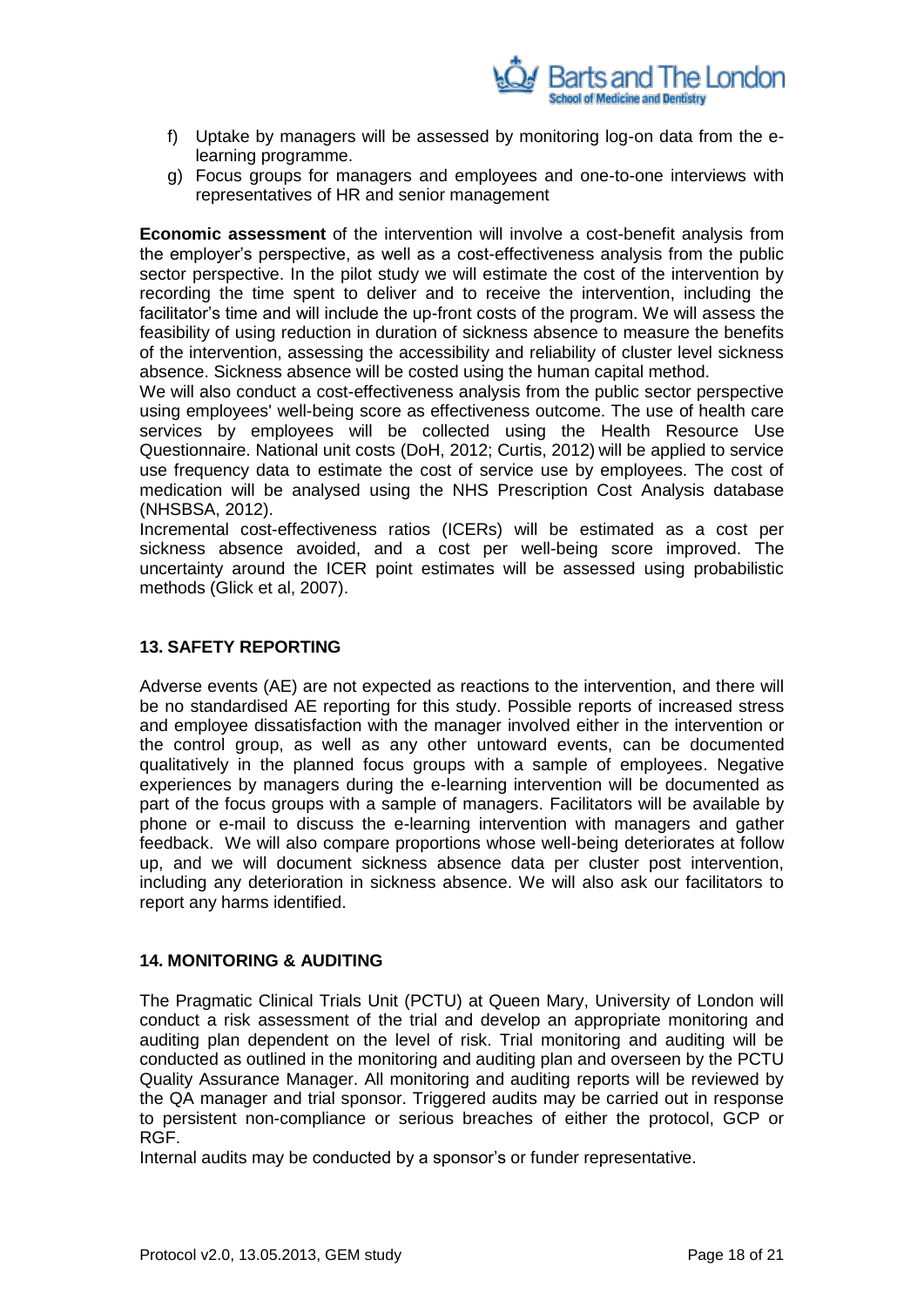

- f) Uptake by managers will be assessed by monitoring log-on data from the elearning programme.
- g) Focus groups for managers and employees and one-to-one interviews with representatives of HR and senior management

**Economic assessment** of the intervention will involve a cost-benefit analysis from the employer"s perspective, as well as a cost-effectiveness analysis from the public sector perspective. In the pilot study we will estimate the cost of the intervention by recording the time spent to deliver and to receive the intervention, including the facilitator's time and will include the up-front costs of the program. We will assess the feasibility of using reduction in duration of sickness absence to measure the benefits of the intervention, assessing the accessibility and reliability of cluster level sickness absence. Sickness absence will be costed using the human capital method.

We will also conduct a cost-effectiveness analysis from the public sector perspective using employees' well-being score as effectiveness outcome. The use of health care services by employees will be collected using the Health Resource Use Questionnaire. National unit costs (DoH, 2012; Curtis, 2012) will be applied to service use frequency data to estimate the cost of service use by employees. The cost of medication will be analysed using the NHS Prescription Cost Analysis database (NHSBSA, 2012).

Incremental cost-effectiveness ratios (ICERs) will be estimated as a cost per sickness absence avoided, and a cost per well-being score improved. The uncertainty around the ICER point estimates will be assessed using probabilistic methods (Glick et al, 2007).

## <span id="page-17-0"></span>**13. SAFETY REPORTING**

Adverse events (AE) are not expected as reactions to the intervention, and there will be no standardised AE reporting for this study. Possible reports of increased stress and employee dissatisfaction with the manager involved either in the intervention or the control group, as well as any other untoward events, can be documented qualitatively in the planned focus groups with a sample of employees. Negative experiences by managers during the e-learning intervention will be documented as part of the focus groups with a sample of managers. Facilitators will be available by phone or e-mail to discuss the e-learning intervention with managers and gather feedback. We will also compare proportions whose well-being deteriorates at follow up, and we will document sickness absence data per cluster post intervention, including any deterioration in sickness absence. We will also ask our facilitators to report any harms identified.

## <span id="page-17-1"></span>**14. MONITORING & AUDITING**

The Pragmatic Clinical Trials Unit (PCTU) at Queen Mary, University of London will conduct a risk assessment of the trial and develop an appropriate monitoring and auditing plan dependent on the level of risk. Trial monitoring and auditing will be conducted as outlined in the monitoring and auditing plan and overseen by the PCTU Quality Assurance Manager. All monitoring and auditing reports will be reviewed by the QA manager and trial sponsor. Triggered audits may be carried out in response to persistent non-compliance or serious breaches of either the protocol, GCP or RGF.

Internal audits may be conducted by a sponsor"s or funder representative.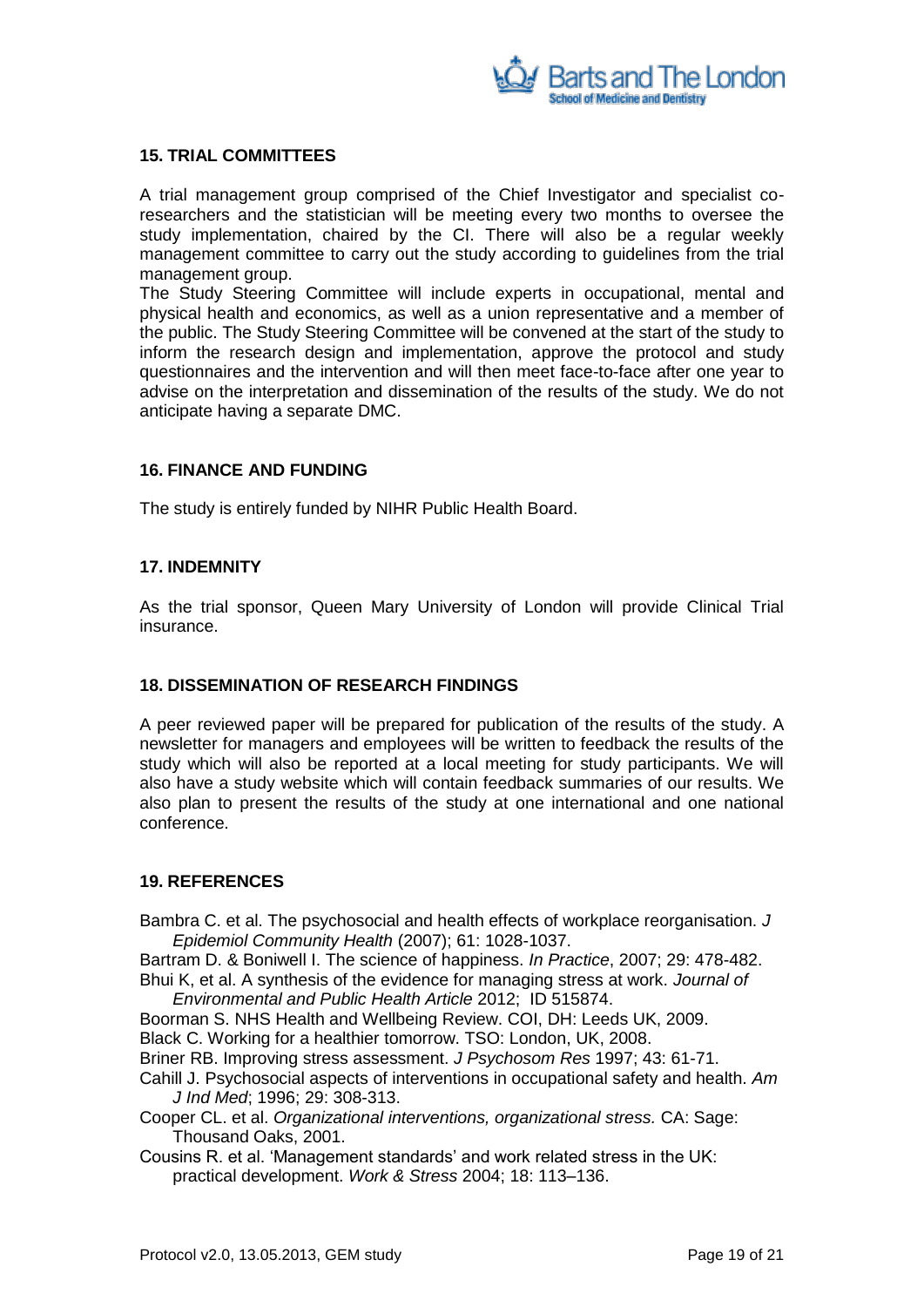

## <span id="page-18-0"></span>**15. TRIAL COMMITTEES**

A trial management group comprised of the Chief Investigator and specialist coresearchers and the statistician will be meeting every two months to oversee the study implementation, chaired by the CI. There will also be a regular weekly management committee to carry out the study according to guidelines from the trial management group.

The Study Steering Committee will include experts in occupational, mental and physical health and economics, as well as a union representative and a member of the public. The Study Steering Committee will be convened at the start of the study to inform the research design and implementation, approve the protocol and study questionnaires and the intervention and will then meet face-to-face after one year to advise on the interpretation and dissemination of the results of the study. We do not anticipate having a separate DMC.

## <span id="page-18-1"></span>**16. FINANCE AND FUNDING**

The study is entirely funded by NIHR Public Health Board.

## <span id="page-18-2"></span>**17. INDEMNITY**

As the trial sponsor, Queen Mary University of London will provide Clinical Trial insurance.

#### <span id="page-18-3"></span>**18. DISSEMINATION OF RESEARCH FINDINGS**

A peer reviewed paper will be prepared for publication of the results of the study. A newsletter for managers and employees will be written to feedback the results of the study which will also be reported at a local meeting for study participants. We will also have a study website which will contain feedback summaries of our results. We also plan to present the results of the study at one international and one national conference.

#### <span id="page-18-4"></span>**19. REFERENCES**

Bambra C. et al. The psychosocial and health effects of workplace reorganisation. *J Epidemiol Community Health* (2007); 61: 1028-1037.

Bartram D. & Boniwell I. The science of happiness. *In Practice*, 2007; 29: 478-482. Bhui K, et al. A synthesis of the evidence for managing stress at work. *Journal of* 

- *Environmental and Public Health Article* 2012; ID 515874.
- Boorman S. NHS Health and Wellbeing Review. COI, DH: Leeds UK, 2009. Black C. Working for a healthier tomorrow. TSO: London, UK, 2008.

Briner RB. Improving stress assessment. *J Psychosom Res* 1997; 43: 61-71.

- Cahill J. Psychosocial aspects of interventions in occupational safety and health. *Am J Ind Med*; 1996; 29: 308-313.
- Cooper CL. et al. *Organizational interventions, organizational stress.* CA: Sage: Thousand Oaks, 2001.
- Cousins R. et al. "Management standards" and work related stress in the UK: practical development. *Work & Stress* 2004; 18: 113–136.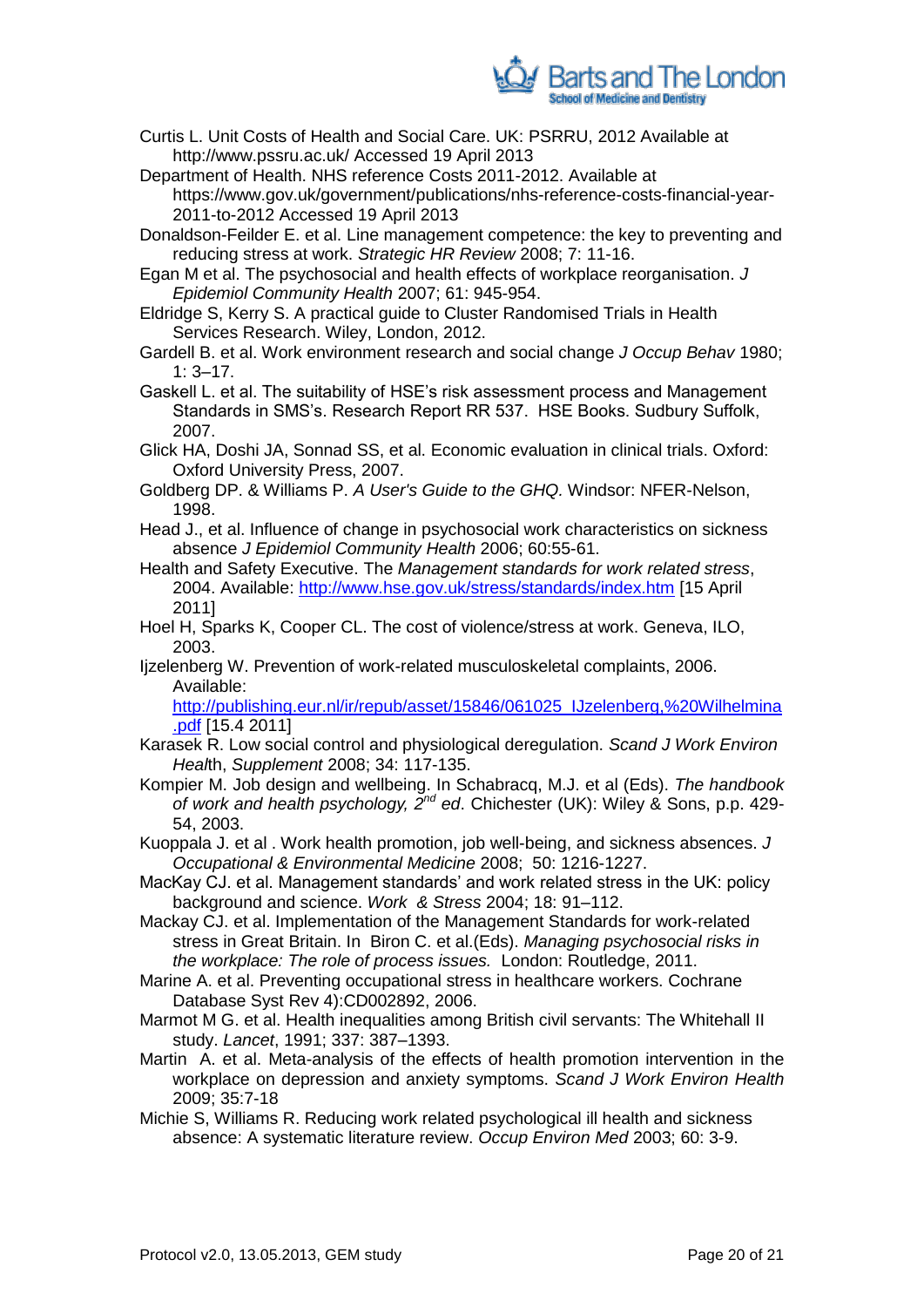

- Curtis L. Unit Costs of Health and Social Care. UK: PSRRU, 2012 Available at http://www.pssru.ac.uk/ Accessed 19 April 2013
- Department of Health. NHS reference Costs 2011-2012. Available at https://www.gov.uk/government/publications/nhs-reference-costs-financial-year-2011-to-2012 Accessed 19 April 2013
- Donaldson-Feilder E. et al. Line management competence: the key to preventing and reducing stress at work. *Strategic HR Review* 2008; 7: 11-16.
- Egan M et al. The psychosocial and health effects of workplace reorganisation. *J Epidemiol Community Health* 2007; 61: 945-954.
- Eldridge S, Kerry S. A practical guide to Cluster Randomised Trials in Health Services Research. Wiley, London, 2012.
- Gardell B. et al. Work environment research and social change *J Occup Behav* 1980;  $1: 3 - 17.$
- Gaskell L. et al. The suitability of HSE"s risk assessment process and Management Standards in SMS"s. Research Report RR 537. HSE Books. Sudbury Suffolk, 2007.
- Glick HA, Doshi JA, Sonnad SS, et al. Economic evaluation in clinical trials. Oxford: Oxford University Press, 2007.
- Goldberg DP. & Williams P. *A User's Guide to the GHQ.* Windsor: NFER-Nelson, 1998.
- Head J., et al. [Influence of change in psychosocial work characteristics on sickness](http://www.ncbi.nlm.nih.gov/pubmed/16361455)  [absence](http://www.ncbi.nlm.nih.gov/pubmed/16361455) *J Epidemiol Community Health* 2006; 60:55-61.
- Health and Safety Executive. The *Management standards for work related stress*, 2004. Available:<http://www.hse.gov.uk/stress/standards/index.htm> [15 April 2011]
- Hoel H, Sparks K, Cooper CL. The cost of violence/stress at work. Geneva, ILO, 2003.
- Ijzelenberg W. Prevention of work-related musculoskeletal complaints, 2006. Available:

[http://publishing.eur.nl/ir/repub/asset/15846/061025\\_IJzelenberg,%20Wilhelmina](http://publishing.eur.nl/ir/repub/asset/15846/061025_IJzelenberg,%20Wilhelmina.pdf) [.pdf](http://publishing.eur.nl/ir/repub/asset/15846/061025_IJzelenberg,%20Wilhelmina.pdf) [15.4 2011]

- Karasek R. Low social control and physiological deregulation. *Scand J Work Environ Heal*th, *Supplement* 2008; 34: 117-135.
- Kompier M. Job design and wellbeing. In Schabracq, M.J. et al (Eds). *The handbook of work and health psychology, 2nd ed*. Chichester (UK): Wiley & Sons, p.p. 429- 54, 2003.
- Kuoppala J. et al . Work health promotion, job well-being, and sickness absences. *J Occupational & Environmental Medicine* 2008; 50: 1216-1227.
- MacKay CJ. et al. Management standards' and work related stress in the UK: policy background and science. *Work & Stress* 2004; 18: 91–112.
- Mackay CJ. et al. Implementation of the Management Standards for work-related stress in Great Britain. In Biron C. et al.(Eds). *Managing psychosocial risks in the workplace: The role of process issues.* London: Routledge, 2011.
- Marine A. et al. Preventing occupational stress in healthcare workers. Cochrane Database Syst Rev 4):CD002892, 2006.
- Marmot M G. et al. Health inequalities among British civil servants: The Whitehall II study. *Lancet*, 1991; 337: 387–1393.
- Martin A. et al. Meta-analysis of the effects of health promotion intervention in the workplace on depression and anxiety symptoms. *Scand J Work Environ Health* 2009; 35:7-18
- Michie S, Williams R. Reducing work related psychological ill health and sickness absence: A systematic literature review. *Occup Environ Med* 2003; 60: 3-9.